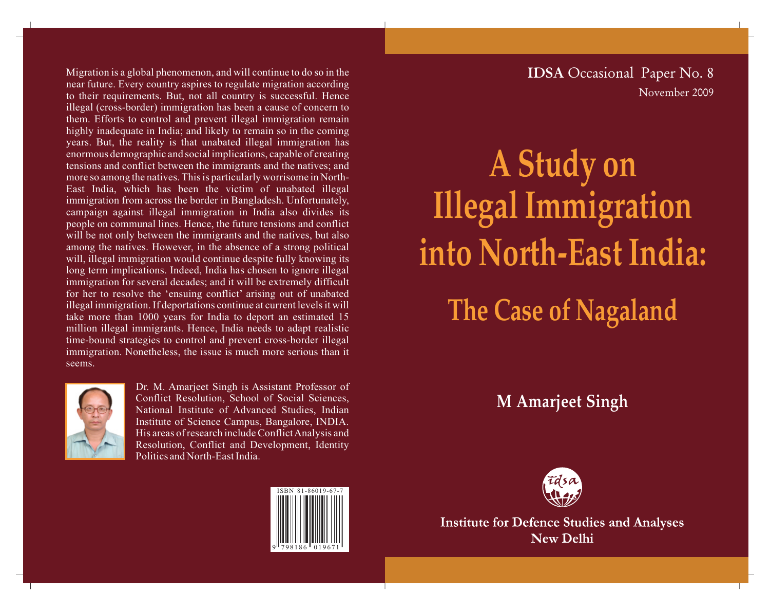Migration is a global phenomenon, and will continue to do so in the near future. Every country aspires to regulate migration according to their requirements. But, not all country is successful. Hence illegal (cross-border) immigration has been a cause of concern to them. Efforts to control and prevent illegal immigration remain highly inadequate in India; and likely to remain so in the coming years. But, the reality is that unabated illegal immigration has enormous demographic and social implications, capable of creating tensions and conflict between the immigrants and the natives; and more so among the natives. This is particularly worrisome in North-East India, which has been the victim of unabated illegal immigration from across the border in Bangladesh. Unfortunately, campaign against illegal immigration in India also divides its people on communal lines. Hence, the future tensions and conflict will be not only between the immigrants and the natives, but also among the natives. However, in the absence of a strong political will, illegal immigration would continue despite fully knowing its long term implications. Indeed, India has chosen to ignore illegal immigration for several decades; and it will be extremely difficult for her to resolve the 'ensuing conflict' arising out of unabated illegal immigration. If deportations continue at current levels it will take more than 1000 years for India to deport an estimated 15 million illegal immigrants. Hence, India needs to adapt realistic time-bound strategies to control and prevent cross-border illegal immigration. Nonetheless, the issue is much more serious than it seems.



Dr. M. Amarjeet Singh is Assistant Professor of Conflict Resolution, School of Social Sciences, National Institute of Advanced Studies, Indian Institute of Science Campus, Bangalore, INDIA. His areas of research include Conflict Analysis and Resolution, Conflict and Development, Identity Politics and North-East India.



**IDSA** Occasional Paper No. 8 November 2009

# **A Study on Illegal Immigration into North-East India:**

**The Case of Nagaland**

**M Amarjeet Singh**



**Institute for Defence Studies and Analyses New Delhi**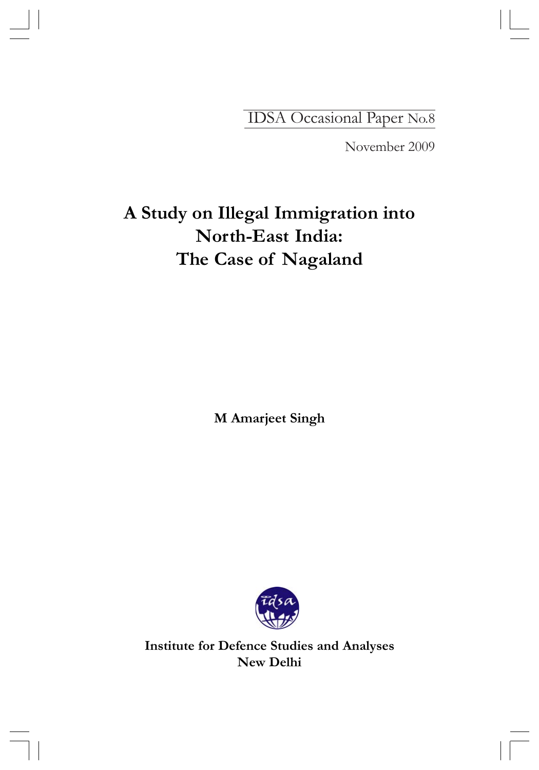**IDSA Occasional Paper No.8** 

November 2009

# **A Study on Illegal Immigration into North-East India: The Case of Nagaland**

**M Amarjeet Singh**



**Institute for Defence Studies and Analyses New Delhi**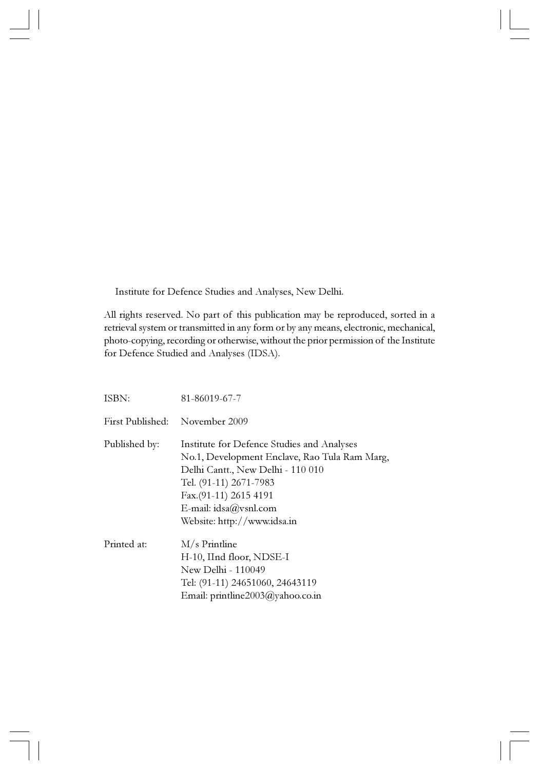$\copyright$  Institute for Defence Studies and Analyses, New Delhi.

All rights reserved. No part of this publication may be reproduced, sorted in a retrieval system or transmitted in any form or by any means, electronic, mechanical, photo-copying, recording or otherwise, without the prior permission of the Institute for Defence Studied and Analyses (IDSA).

| ISBN:         | 81-86019-67-7                                                                                                                                                                                                                               |
|---------------|---------------------------------------------------------------------------------------------------------------------------------------------------------------------------------------------------------------------------------------------|
|               | First Published: November 2009                                                                                                                                                                                                              |
| Published by: | Institute for Defence Studies and Analyses<br>No.1, Development Enclave, Rao Tula Ram Marg,<br>Delhi Cantt., New Delhi - 110 010<br>Tel. (91-11) 2671-7983<br>Fax.(91-11) 2615 4191<br>E-mail: idsa@vsnl.com<br>Website: http://www.idsa.in |
| Printed at:   | $M/s$ Printline<br>H-10, IInd floor, NDSE-I<br>New Delhi - 110049<br>Tel: (91-11) 24651060, 24643119<br>Email: printline2003@yahoo.co.in                                                                                                    |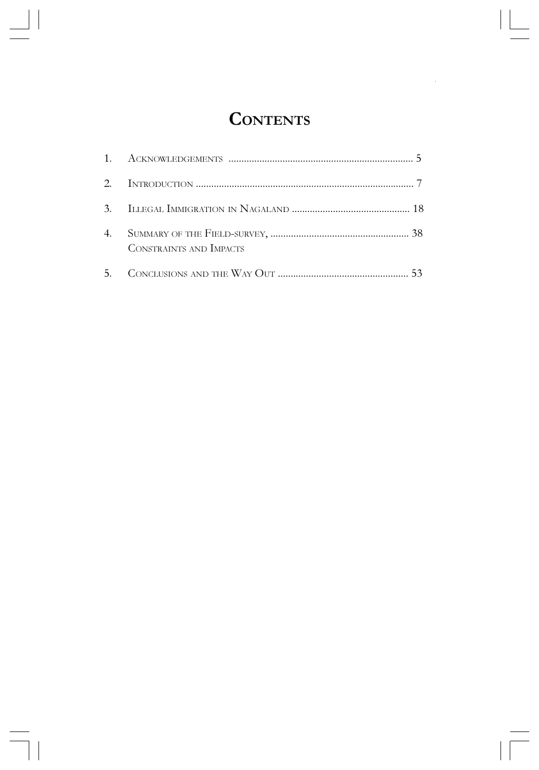## **CONTENTS**

 $\begin{array}{c|c|c|c|c} \hline \quad \quad & \quad \quad & \quad \quad & \quad \quad \\ \hline \end{array}$ 

 $\mathbb{E}[\mathbf{S}^{\text{in}}]$ 

| CONSTRAINTS AND IMPACTS |  |
|-------------------------|--|
|                         |  |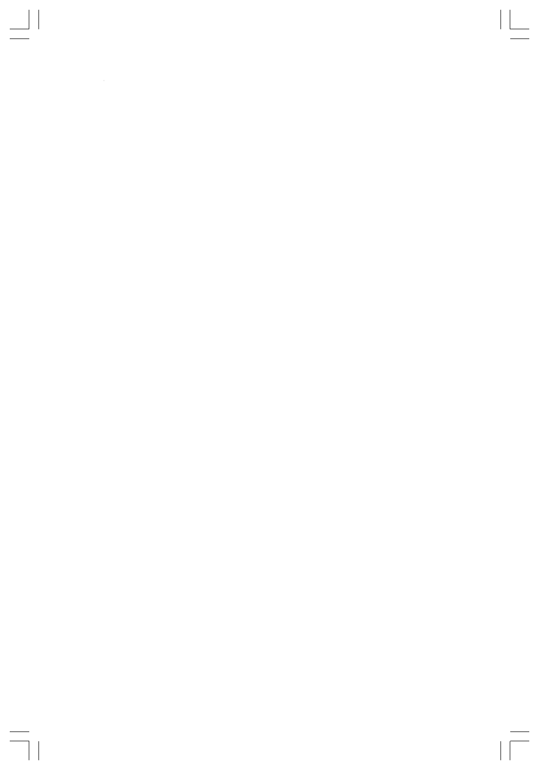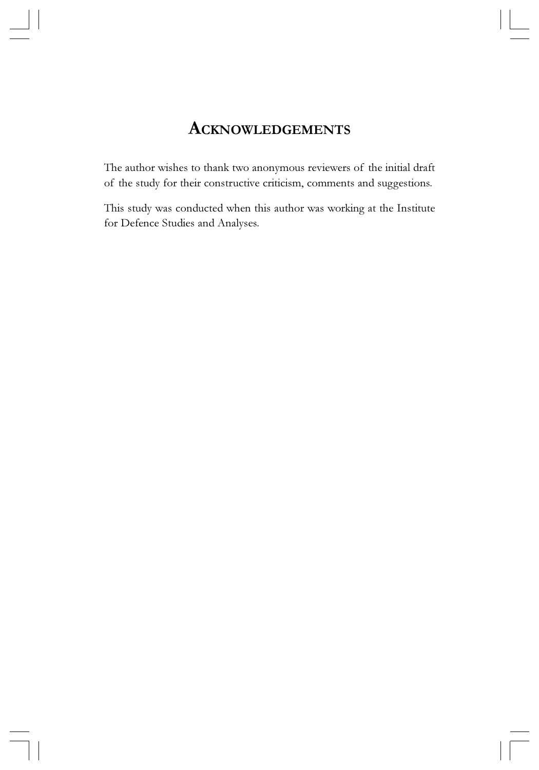## **ACKNOWLEDGEMENTS**

The author wishes to thank two anonymous reviewers of the initial draft of the study for their constructive criticism, comments and suggestions.

This study was conducted when this author was working at the Institute for Defence Studies and Analyses.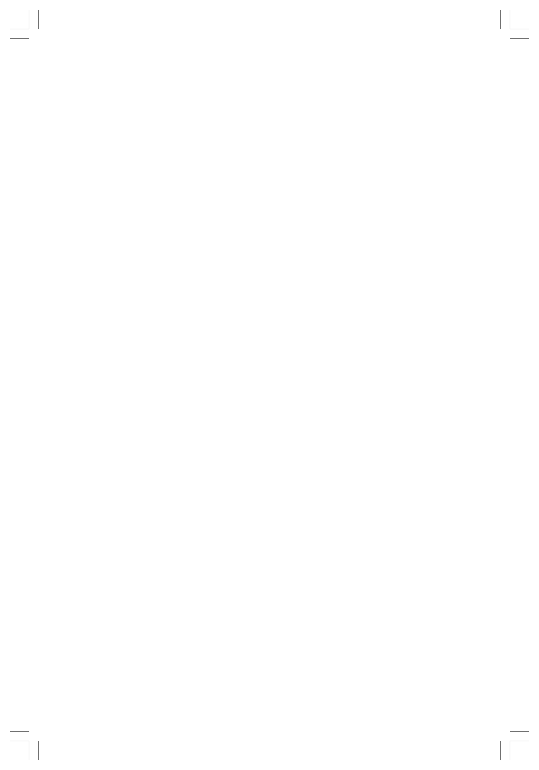$\begin{array}{c|c} \hline \hline \end{array}$  $\overline{\mathbb{R}}$  $\begin{array}{c} \hline \hline \hline \hline \hline \hline \hline \hline \end{array}$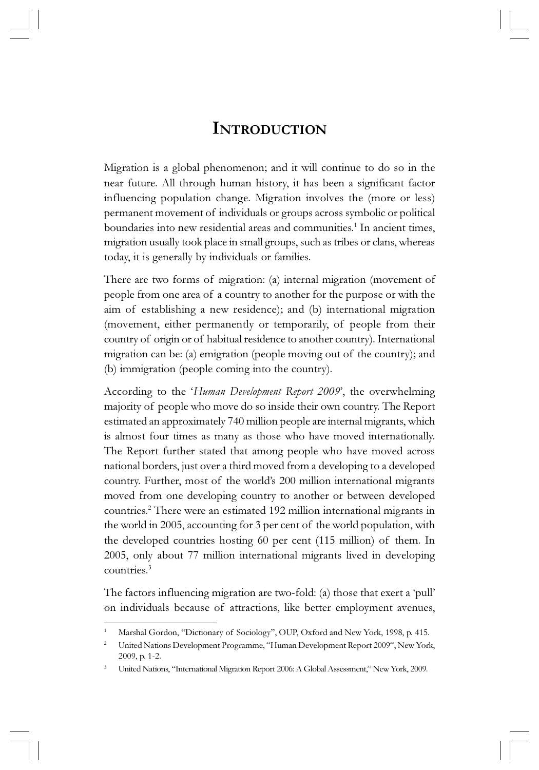### **INTRODUCTION**

Migration is a global phenomenon; and it will continue to do so in the near future. All through human history, it has been a significant factor influencing population change. Migration involves the (more or less) permanent movement of individuals or groups across symbolic or political boundaries into new residential areas and communities.<sup>1</sup> In ancient times, migration usually took place in small groups, such as tribes or clans, whereas today, it is generally by individuals or families.

There are two forms of migration: (a) internal migration (movement of people from one area of a country to another for the purpose or with the aim of establishing a new residence); and (b) international migration (movement, either permanently or temporarily, of people from their country of origin or of habitual residence to another country). International migration can be: (a) emigration (people moving out of the country); and (b) immigration (people coming into the country).

According to the 'Human Development Report 2009', the overwhelming majority of people who move do so inside their own country. The Report estimated an approximately 740 million people are internal migrants, which is almost four times as many as those who have moved internationally. The Report further stated that among people who have moved across national borders, just over a third moved from a developing to a developed country. Further, most of the world's 200 million international migrants moved from one developing country to another or between developed countries.<sup>2</sup> There were an estimated 192 million international migrants in the world in 2005, accounting for 3 per cent of the world population, with the developed countries hosting 60 per cent (115 million) of them. In 2005, only about 77 million international migrants lived in developing countries.<sup>3</sup>

The factors influencing migration are two-fold: (a) those that exert a 'pull' on individuals because of attractions, like better employment avenues,

<sup>1</sup> Marshal Gordon, "Dictionary of Sociology", OUP, Oxford and New York, 1998, p. 415.

<sup>2</sup> United Nations Development Programme, "Human Development Report 2009", New York, 2009, p. 1-2.

<sup>3</sup> United Nations, "International Migration Report 2006: A Global Assessment," New York, 2009.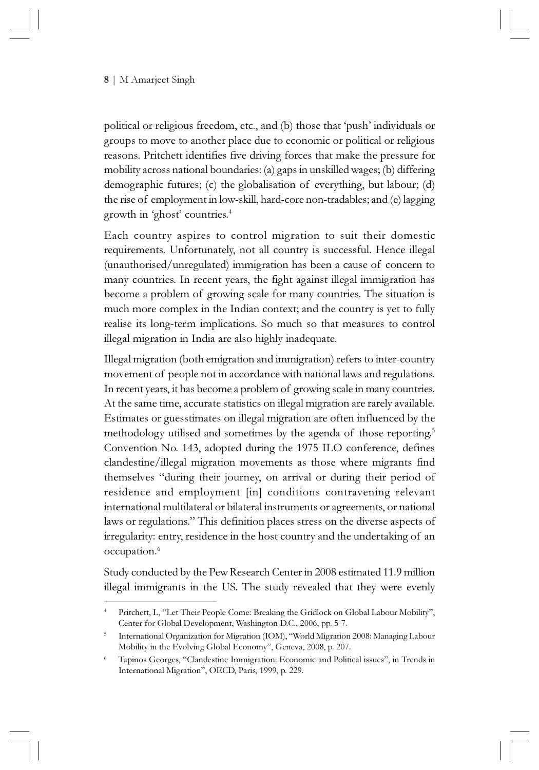political or religious freedom, etc., and (b) those that 'push' individuals or groups to move to another place due to economic or political or religious reasons. Pritchett identifies five driving forces that make the pressure for mobility across national boundaries: (a) gaps in unskilled wages; (b) differing demographic futures; (c) the globalisation of everything, but labour; (d) the rise of employment in low-skill, hard-core non-tradables; and (e) lagging growth in 'ghost' countries.<sup>4</sup>

Each country aspires to control migration to suit their domestic requirements. Unfortunately, not all country is successful. Hence illegal (unauthorised/unregulated) immigration has been a cause of concern to many countries. In recent years, the fight against illegal immigration has become a problem of growing scale for many countries. The situation is much more complex in the Indian context; and the country is yet to fully realise its long-term implications. So much so that measures to control illegal migration in India are also highly inadequate.

Illegal migration (both emigration and immigration) refers to inter-country movement of people not in accordance with national laws and regulations. In recent years, it has become a problem of growing scale in many countries. At the same time, accurate statistics on illegal migration are rarely available. Estimates or guesstimates on illegal migration are often influenced by the methodology utilised and sometimes by the agenda of those reporting.<sup>5</sup> Convention No. 143, adopted during the 1975 ILO conference, defines clandestine/illegal migration movements as those where migrants find themselves "during their journey, on arrival or during their period of residence and employment [in] conditions contravening relevant international multilateral or bilateral instruments or agreements, or national laws or regulations." This definition places stress on the diverse aspects of irregularity: entry, residence in the host country and the undertaking of an occupation.<sup>6</sup>

Study conducted by the Pew Research Center in 2008 estimated 11.9 million illegal immigrants in the US. The study revealed that they were evenly

<sup>4</sup> Pritchett, L, "Let Their People Come: Breaking the Gridlock on Global Labour Mobility", Center for Global Development, Washington D.C., 2006, pp. 5-7.

<sup>5</sup> International Organization for Migration (IOM), "World Migration 2008: Managing Labour Mobility in the Evolving Global Economy", Geneva, 2008, p. 207.

<sup>6</sup> Tapinos Georges, "Clandestine Immigration: Economic and Political issues", in Trends in International Migration", OECD, Paris, 1999, p. 229.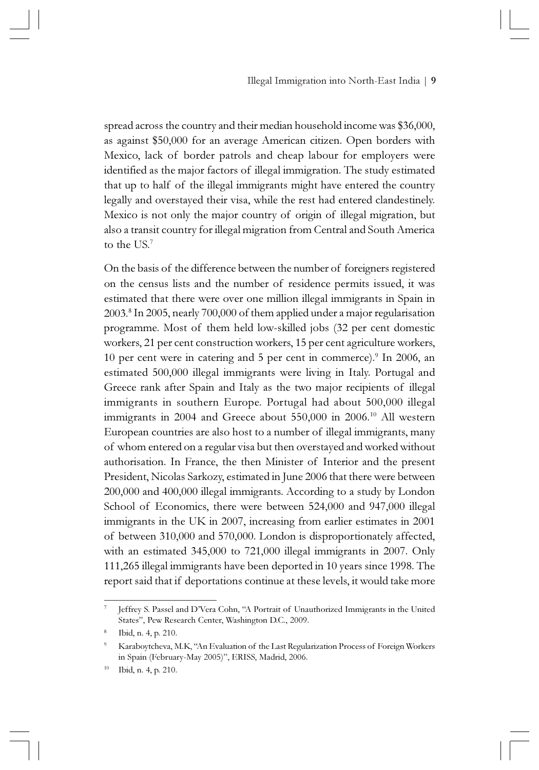spread across the country and their median household income was \$36,000, as against \$50,000 for an average American citizen. Open borders with Mexico, lack of border patrols and cheap labour for employers were identified as the major factors of illegal immigration. The study estimated that up to half of the illegal immigrants might have entered the country legally and overstayed their visa, while the rest had entered clandestinely. Mexico is not only the major country of origin of illegal migration, but also a transit country for illegal migration from Central and South America to the US.<sup>7</sup>

On the basis of the difference between the number of foreigners registered on the census lists and the number of residence permits issued, it was estimated that there were over one million illegal immigrants in Spain in 2003.<sup>8</sup> In 2005, nearly 700,000 of them applied under a major regularisation programme. Most of them held low-skilled jobs (32 per cent domestic workers, 21 per cent construction workers, 15 per cent agriculture workers, 10 per cent were in catering and 5 per cent in commerce).<sup>9</sup> In 2006, an estimated 500,000 illegal immigrants were living in Italy. Portugal and Greece rank after Spain and Italy as the two major recipients of illegal immigrants in southern Europe. Portugal had about 500,000 illegal immigrants in 2004 and Greece about 550,000 in 2006.<sup>10</sup> All western European countries are also host to a number of illegal immigrants, many of whom entered on a regular visa but then overstayed and worked without authorisation. In France, the then Minister of Interior and the present President, Nicolas Sarkozy, estimated in June 2006 that there were between 200,000 and 400,000 illegal immigrants. According to a study by London School of Economics, there were between 524,000 and 947,000 illegal immigrants in the UK in 2007, increasing from earlier estimates in 2001 of between 310,000 and 570,000. London is disproportionately affected, with an estimated 345,000 to 721,000 illegal immigrants in 2007. Only 111,265 illegal immigrants have been deported in 10 years since 1998. The report said that if deportations continue at these levels, it would take more

<sup>7</sup> Jeffrey S. Passel and D'Vera Cohn, "A Portrait of Unauthorized Immigrants in the United States", Pew Research Center, Washington D.C., 2009.

<sup>8</sup> Ibid, n. 4, p. 210.

<sup>9</sup> Karaboytcheva, M.K, "An Evaluation of the Last Regularization Process of Foreign Workers in Spain (February-May 2005)", ERISS, Madrid, 2006.

<sup>10</sup> Ibid, n. 4, p. 210.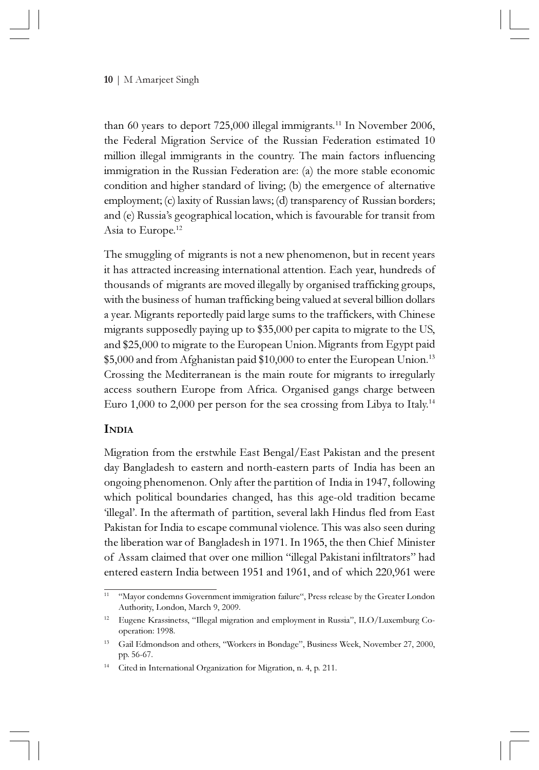than 60 years to deport  $725,000$  illegal immigrants.<sup>11</sup> In November 2006, the Federal Migration Service of the Russian Federation estimated 10 million illegal immigrants in the country. The main factors influencing immigration in the Russian Federation are: (a) the more stable economic condition and higher standard of living; (b) the emergence of alternative employment; (c) laxity of Russian laws; (d) transparency of Russian borders; and (e) Russia's geographical location, which is favourable for transit from Asia to Europe.<sup>12</sup>

The smuggling of migrants is not a new phenomenon, but in recent years it has attracted increasing international attention. Each year, hundreds of thousands of migrants are moved illegally by organised trafficking groups, with the business of human trafficking being valued at several billion dollars a year. Migrants reportedly paid large sums to the traffickers, with Chinese migrants supposedly paying up to \$35,000 per capita to migrate to the US, and \$25,000 to migrate to the European Union.Migrants from Egypt paid  $\$5,\!000$  and from Afghanistan paid  $\$10,\!000$  to enter the European Union. $^{13}$ Crossing the Mediterranean is the main route for migrants to irregularly access southern Europe from Africa. Organised gangs charge between Euro 1,000 to 2,000 per person for the sea crossing from Libya to Italy.<sup>14</sup>

#### INDIA

Migration from the erstwhile East Bengal/East Pakistan and the present day Bangladesh to eastern and north-eastern parts of India has been an ongoing phenomenon. Only after the partition of India in 1947, following which political boundaries changed, has this age-old tradition became 'illegal'. In the aftermath of partition, several lakh Hindus fled from East Pakistan for India to escape communal violence. This was also seen during the liberation war of Bangladesh in 1971. In 1965, the then Chief Minister of Assam claimed that over one million "illegal Pakistani infiltrators" had entered eastern India between 1951 and 1961, and of which 220,961 were

<sup>&</sup>quot;Mayor condemns Government immigration failure", Press release by the Greater London Authority, London, March 9, 2009.

<sup>12</sup> Eugene Krassinetss, "Illegal migration and employment in Russia", ILO/Luxemburg Cooperation: 1998.

<sup>13</sup> Gail Edmondson and others, "Workers in Bondage", Business Week, November 27, 2000, pp. 56-67.

<sup>14</sup> Cited in International Organization for Migration, n. 4, p. 211.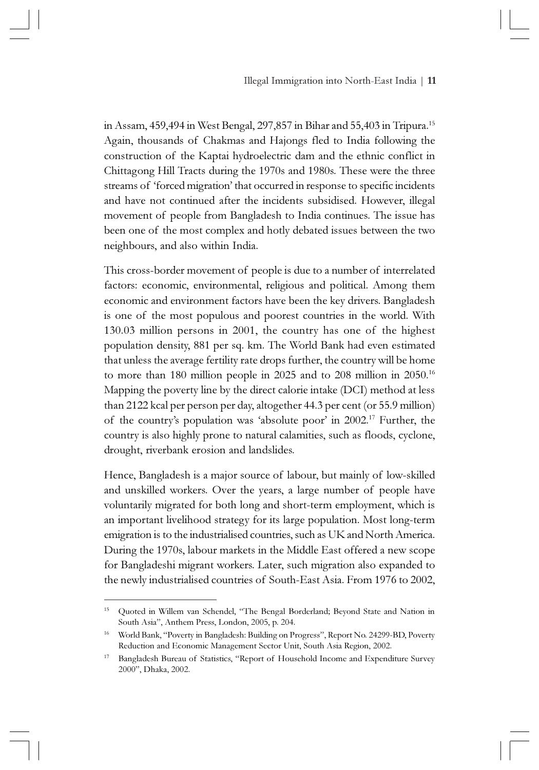in Assam, 459,494 in West Bengal, 297,857 in Bihar and 55,403 in Tripura.<sup>15</sup> Again, thousands of Chakmas and Hajongs fled to India following the construction of the Kaptai hydroelectric dam and the ethnic conflict in Chittagong Hill Tracts during the 1970s and 1980s. These were the three streams of 'forced migration' that occurred in response to specific incidents and have not continued after the incidents subsidised. However, illegal movement of people from Bangladesh to India continues. The issue has been one of the most complex and hotly debated issues between the two neighbours, and also within India.

This cross-border movement of people is due to a number of interrelated factors: economic, environmental, religious and political. Among them economic and environment factors have been the key drivers. Bangladesh is one of the most populous and poorest countries in the world. With 130.03 million persons in 2001, the country has one of the highest population density, 881 per sq. km. The World Bank had even estimated that unless the average fertility rate drops further, the country will be home to more than 180 million people in 2025 and to 208 million in 2050.<sup>16</sup> Mapping the poverty line by the direct calorie intake (DCI) method at less than 2122 kcal per person per day, altogether 44.3 per cent (or 55.9 million) of the country's population was 'absolute poor' in 2002.<sup>17</sup> Further, the country is also highly prone to natural calamities, such as floods, cyclone, drought, riverbank erosion and landslides.

Hence, Bangladesh is a major source of labour, but mainly of low-skilled and unskilled workers. Over the years, a large number of people have voluntarily migrated for both long and short-term employment, which is an important livelihood strategy for its large population. Most long-term emigration is to the industrialised countries, such as UK and North America. During the 1970s, labour markets in the Middle East offered a new scope for Bangladeshi migrant workers. Later, such migration also expanded to the newly industrialised countries of South-East Asia. From 1976 to 2002,

<sup>15</sup> Quoted in Willem van Schendel, "The Bengal Borderland; Beyond State and Nation in South Asia", Anthem Press, London, 2005, p. 204.

<sup>16</sup> World Bank, "Poverty in Bangladesh: Building on Progress", Report No. 24299-BD, Poverty Reduction and Economic Management Sector Unit, South Asia Region, 2002.

<sup>&</sup>lt;sup>17</sup> Bangladesh Bureau of Statistics, "Report of Household Income and Expenditure Survey 2000", Dhaka, 2002.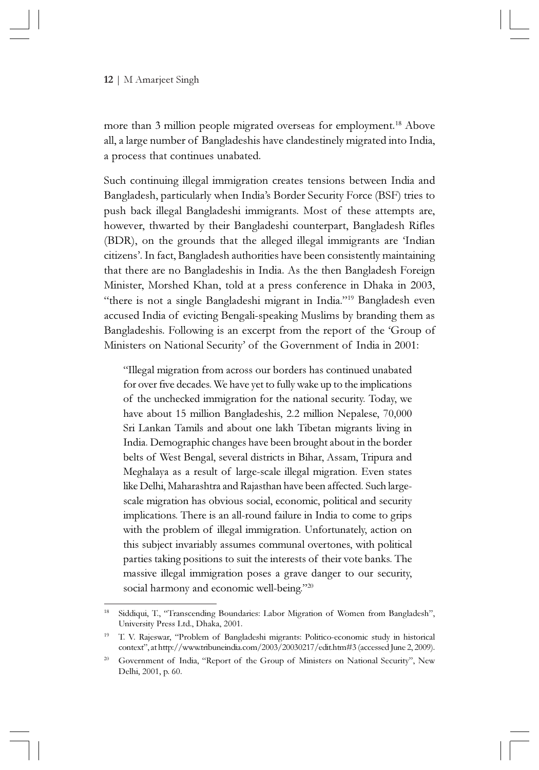more than 3 million people migrated overseas for employment.<sup>18</sup> Above all, a large number of Bangladeshis have clandestinely migrated into India, a process that continues unabated.

Such continuing illegal immigration creates tensions between India and Bangladesh, particularly when India's Border Security Force (BSF) tries to push back illegal Bangladeshi immigrants. Most of these attempts are, however, thwarted by their Bangladeshi counterpart, Bangladesh Rifles (BDR), on the grounds that the alleged illegal immigrants are 'Indian citizens'. In fact, Bangladesh authorities have been consistently maintaining that there are no Bangladeshis in India. As the then Bangladesh Foreign Minister, Morshed Khan, told at a press conference in Dhaka in 2003, "there is not a single Bangladeshi migrant in India."<sup>19</sup> Bangladesh even accused India of evicting Bengali-speaking Muslims by branding them as Bangladeshis. Following is an excerpt from the report of the 'Group of Ministers on National Security' of the Government of India in 2001:

"Illegal migration from across our borders has continued unabated for over five decades. We have yet to fully wake up to the implications of the unchecked immigration for the national security. Today, we have about 15 million Bangladeshis, 2.2 million Nepalese, 70,000 Sri Lankan Tamils and about one lakh Tibetan migrants living in India. Demographic changes have been brought about in the border belts of West Bengal, several districts in Bihar, Assam, Tripura and Meghalaya as a result of large-scale illegal migration. Even states like Delhi, Maharashtra and Rajasthan have been affected. Such largescale migration has obvious social, economic, political and security implications. There is an all-round failure in India to come to grips with the problem of illegal immigration. Unfortunately, action on this subject invariably assumes communal overtones, with political parties taking positions to suit the interests of their vote banks. The massive illegal immigration poses a grave danger to our security, social harmony and economic well-being."<sup>20</sup>

Siddiqui, T., "Transcending Boundaries: Labor Migration of Women from Bangladesh", University Press Ltd., Dhaka, 2001.

<sup>19</sup> T. V. Rajeswar, "Problem of Bangladeshi migrants: Politico-economic study in historical context", at http://www.tribuneindia.com/2003/20030217/edit.htm#3 (accessed June 2, 2009).

<sup>&</sup>lt;sup>20</sup> Government of India, "Report of the Group of Ministers on National Security", New Delhi, 2001, p. 60.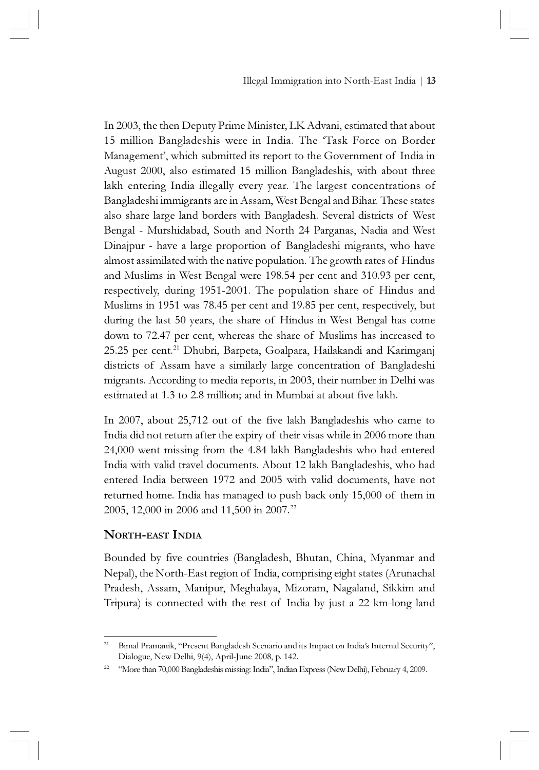In 2003, the then Deputy Prime Minister, LK Advani, estimated that about 15 million Bangladeshis were in India. The 'Task Force on Border Management', which submitted its report to the Government of India in August 2000, also estimated 15 million Bangladeshis, with about three lakh entering India illegally every year. The largest concentrations of Bangladeshi immigrants are in Assam, West Bengal and Bihar. These states also share large land borders with Bangladesh. Several districts of West Bengal - Murshidabad, South and North 24 Parganas, Nadia and West Dinajpur - have a large proportion of Bangladeshi migrants, who have almost assimilated with the native population. The growth rates of Hindus and Muslims in West Bengal were 198.54 per cent and 310.93 per cent, respectively, during 1951-2001. The population share of Hindus and Muslims in 1951 was 78.45 per cent and 19.85 per cent, respectively, but during the last 50 years, the share of Hindus in West Bengal has come down to 72.47 per cent, whereas the share of Muslims has increased to 25.25 per cent.<sup>21</sup> Dhubri, Barpeta, Goalpara, Hailakandi and Karimganj districts of Assam have a similarly large concentration of Bangladeshi migrants. According to media reports, in 2003, their number in Delhi was estimated at 1.3 to 2.8 million; and in Mumbai at about five lakh.

In 2007, about 25,712 out of the five lakh Bangladeshis who came to India did not return after the expiry of their visas while in 2006 more than 24,000 went missing from the 4.84 lakh Bangladeshis who had entered India with valid travel documents. About 12 lakh Bangladeshis, who had entered India between 1972 and 2005 with valid documents, have not returned home. India has managed to push back only 15,000 of them in 2005, 12,000 in 2006 and 11,500 in 2007.<sup>22</sup>

#### NORTH-EAST INDIA

Bounded by five countries (Bangladesh, Bhutan, China, Myanmar and Nepal), the North-East region of India, comprising eight states (Arunachal Pradesh, Assam, Manipur, Meghalaya, Mizoram, Nagaland, Sikkim and Tripura) is connected with the rest of India by just a 22 km-long land

<sup>&</sup>lt;sup>21</sup> Bimal Pramanik, "Present Bangladesh Scenario and its Impact on India's Internal Security", Dialogue, New Delhi, 9(4), April-June 2008, p. 142.

<sup>&</sup>lt;sup>22</sup> "More than 70,000 Bangladeshis missing: India", Indian Express (New Delhi), February 4, 2009.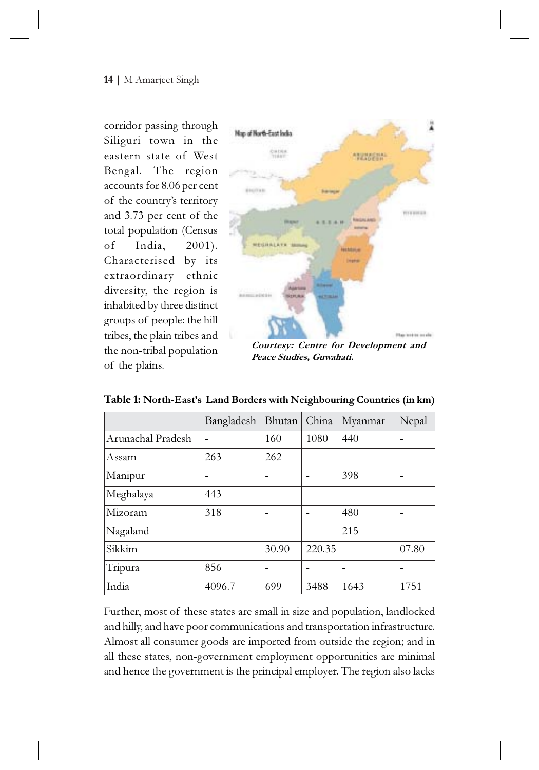corridor passing through Siliguri town in the eastern state of West Bengal. The region accounts for 8.06 per cent of the country's territory and 3.73 per cent of the total population (Census of India, 2001). Characterised by its extraordinary ethnic diversity, the region is inhabited by three distinct groups of people: the hill tribes, the plain tribes and the non-tribal population of the plains.



Courtesy: Centre for Development and Peace Studies, Guwahati.

|                   | Bangladesh | Bhutan | China  | Myanmar | Nepal |
|-------------------|------------|--------|--------|---------|-------|
| Arunachal Pradesh |            | 160    | 1080   | 440     |       |
| Assam             | 263        | 262    |        |         |       |
| Manipur           |            |        |        | 398     |       |
| Meghalaya         | 443        |        |        |         |       |
| Mizoram           | 318        |        |        | 480     |       |
| Nagaland          |            |        |        | 215     |       |
| Sikkim            |            | 30.90  | 220.35 |         | 07.80 |
| Tripura           | 856        |        |        |         |       |
| India             | 4096.7     | 699    | 3488   | 1643    | 1751  |

Table 1: North-East's Land Borders with Neighbouring Countries (in km)

Further, most of these states are small in size and population, landlocked and hilly, and have poor communications and transportation infrastructure. Almost all consumer goods are imported from outside the region; and in all these states, non-government employment opportunities are minimal and hence the government is the principal employer. The region also lacks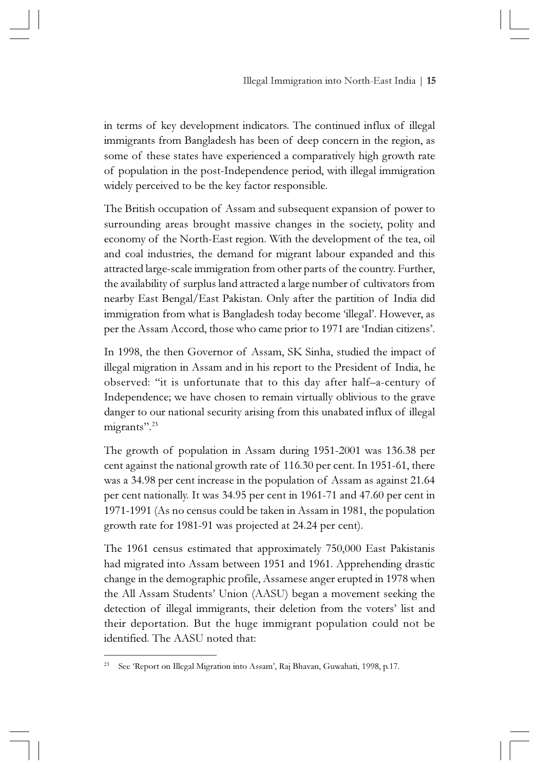in terms of key development indicators. The continued influx of illegal immigrants from Bangladesh has been of deep concern in the region, as some of these states have experienced a comparatively high growth rate of population in the post-Independence period, with illegal immigration widely perceived to be the key factor responsible.

The British occupation of Assam and subsequent expansion of power to surrounding areas brought massive changes in the society, polity and economy of the North-East region. With the development of the tea, oil and coal industries, the demand for migrant labour expanded and this attracted large-scale immigration from other parts of the country. Further, the availability of surplus land attracted a large number of cultivators from nearby East Bengal/East Pakistan. Only after the partition of India did immigration from what is Bangladesh today become 'illegal'. However, as per the Assam Accord, those who came prior to 1971 are 'Indian citizens'.

In 1998, the then Governor of Assam, SK Sinha, studied the impact of illegal migration in Assam and in his report to the President of India, he observed: "it is unfortunate that to this day after half–a-century of Independence; we have chosen to remain virtually oblivious to the grave danger to our national security arising from this unabated influx of illegal migrants".<sup>23</sup>

The growth of population in Assam during 1951-2001 was 136.38 per cent against the national growth rate of 116.30 per cent. In 1951-61, there was a 34.98 per cent increase in the population of Assam as against 21.64 per cent nationally. It was 34.95 per cent in 1961-71 and 47.60 per cent in 1971-1991 (As no census could be taken in Assam in 1981, the population growth rate for 1981-91 was projected at 24.24 per cent).

The 1961 census estimated that approximately 750,000 East Pakistanis had migrated into Assam between 1951 and 1961. Apprehending drastic change in the demographic profile, Assamese anger erupted in 1978 when the All Assam Students' Union (AASU) began a movement seeking the detection of illegal immigrants, their deletion from the voters' list and their deportation. But the huge immigrant population could not be identified. The AASU noted that:

See 'Report on Illegal Migration into Assam', Raj Bhavan, Guwahati, 1998, p.17.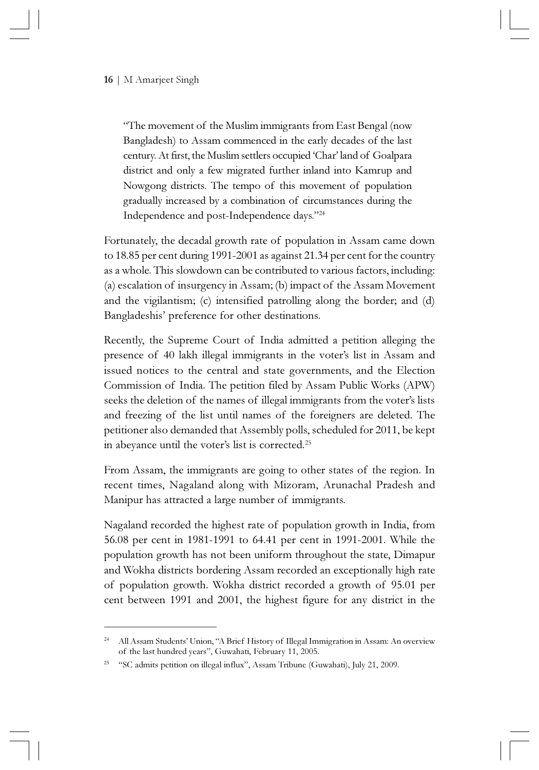"The movement of the Muslim immigrants from East Bengal (now Bangladesh) to Assam commenced in the early decades of the last century. At first, the Muslim settlers occupied 'Char' land of Goalpara district and only a few migrated further inland into Kamrup and Nowgong districts. The tempo of this movement of population gradually increased by a combination of circumstances during the Independence and post-Independence days."<sup>24</sup>

Fortunately, the decadal growth rate of population in Assam came down to 18.85 per cent during 1991-2001 as against 21.34 per cent for the country as a whole. This slowdown can be contributed to various factors, including: (a) escalation of insurgency in Assam; (b) impact of the Assam Movement and the vigilantism; (c) intensified patrolling along the border; and (d) Bangladeshis' preference for other destinations.

Recently, the Supreme Court of India admitted a petition alleging the presence of 40 lakh illegal immigrants in the voter's list in Assam and issued notices to the central and state governments, and the Election Commission of India. The petition filed by Assam Public Works (APW) seeks the deletion of the names of illegal immigrants from the voter's lists and freezing of the list until names of the foreigners are deleted. The petitioner also demanded that Assembly polls, scheduled for 2011, be kept in abeyance until the voter's list is corrected.<sup>25</sup>

From Assam, the immigrants are going to other states of the region. In recent times, Nagaland along with Mizoram, Arunachal Pradesh and Manipur has attracted a large number of immigrants.

Nagaland recorded the highest rate of population growth in India, from 56.08 per cent in 1981-1991 to 64.41 per cent in 1991-2001. While the population growth has not been uniform throughout the state, Dimapur and Wokha districts bordering Assam recorded an exceptionally high rate of population growth. Wokha district recorded a growth of 95.01 per cent between 1991 and 2001, the highest figure for any district in the

<sup>24</sup> All Assam Students' Union, "A Brief History of Illegal Immigration in Assam: An overview of the last hundred years", Guwahati, February 11, 2005.

<sup>25</sup> "SC admits petition on illegal influx", Assam Tribune (Guwahati), July 21, 2009.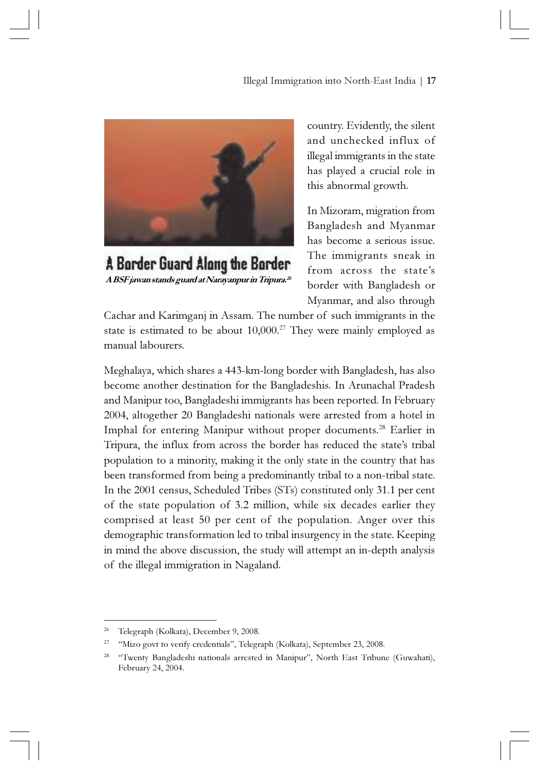

A Border Guard Along the Border A BSF jawan stands guard at Narayanpur in Tripura.<sup>26</sup>

country. Evidently, the silent and unchecked influx of illegal immigrants in the state has played a crucial role in this abnormal growth.

In Mizoram, migration from Bangladesh and Myanmar has become a serious issue. The immigrants sneak in from across the state's border with Bangladesh or Myanmar, and also through

Cachar and Karimganj in Assam. The number of such immigrants in the state is estimated to be about  $10,000$ .<sup>27</sup> They were mainly employed as manual labourers.

Meghalaya, which shares a 443-km-long border with Bangladesh, has also become another destination for the Bangladeshis. In Arunachal Pradesh and Manipur too, Bangladeshi immigrants has been reported. In February 2004, altogether 20 Bangladeshi nationals were arrested from a hotel in Imphal for entering Manipur without proper documents.<sup>28</sup> Earlier in Tripura, the influx from across the border has reduced the state's tribal population to a minority, making it the only state in the country that has been transformed from being a predominantly tribal to a non-tribal state. In the 2001 census, Scheduled Tribes (STs) constituted only 31.1 per cent of the state population of 3.2 million, while six decades earlier they comprised at least 50 per cent of the population. Anger over this demographic transformation led to tribal insurgency in the state. Keeping in mind the above discussion, the study will attempt an in-depth analysis of the illegal immigration in Nagaland.

<sup>26</sup> Telegraph (Kolkata), December 9, 2008.

<sup>&</sup>lt;sup>27</sup> "Mizo govt to verify credentials", Telegraph (Kolkata), September 23, 2008.

<sup>28</sup> "Twenty Bangladeshi nationals arrested in Manipur", North East Tribune (Guwahati), February 24, 2004.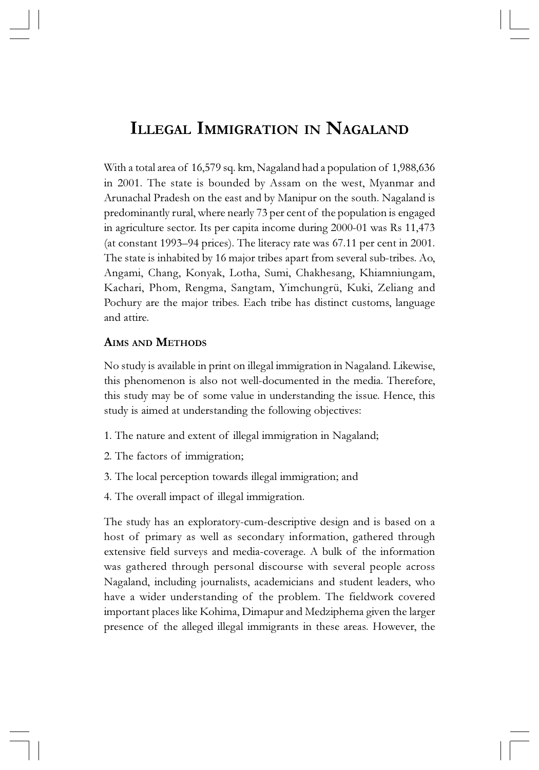## ILLEGAL IMMIGRATION IN NAGALAND

With a total area of 16,579 sq. km, Nagaland had a population of 1,988,636 in 2001. The state is bounded by Assam on the west, Myanmar and Arunachal Pradesh on the east and by Manipur on the south. Nagaland is predominantly rural, where nearly 73 per cent of the population is engaged in agriculture sector. Its per capita income during 2000-01 was Rs 11,473 (at constant 1993–94 prices). The literacy rate was 67.11 per cent in 2001. The state is inhabited by 16 major tribes apart from several sub-tribes. Ao, Angami, Chang, Konyak, Lotha, Sumi, Chakhesang, Khiamniungam, Kachari, Phom, Rengma, Sangtam, Yimchungrü, Kuki, Zeliang and Pochury are the major tribes. Each tribe has distinct customs, language and attire.

#### AIMS AND METHODS

No study is available in print on illegal immigration in Nagaland. Likewise, this phenomenon is also not well-documented in the media. Therefore, this study may be of some value in understanding the issue. Hence, this study is aimed at understanding the following objectives:

- 1. The nature and extent of illegal immigration in Nagaland;
- 2. The factors of immigration;
- 3. The local perception towards illegal immigration; and
- 4. The overall impact of illegal immigration.

The study has an exploratory-cum-descriptive design and is based on a host of primary as well as secondary information, gathered through extensive field surveys and media-coverage. A bulk of the information was gathered through personal discourse with several people across Nagaland, including journalists, academicians and student leaders, who have a wider understanding of the problem. The fieldwork covered important places like Kohima, Dimapur and Medziphema given the larger presence of the alleged illegal immigrants in these areas. However, the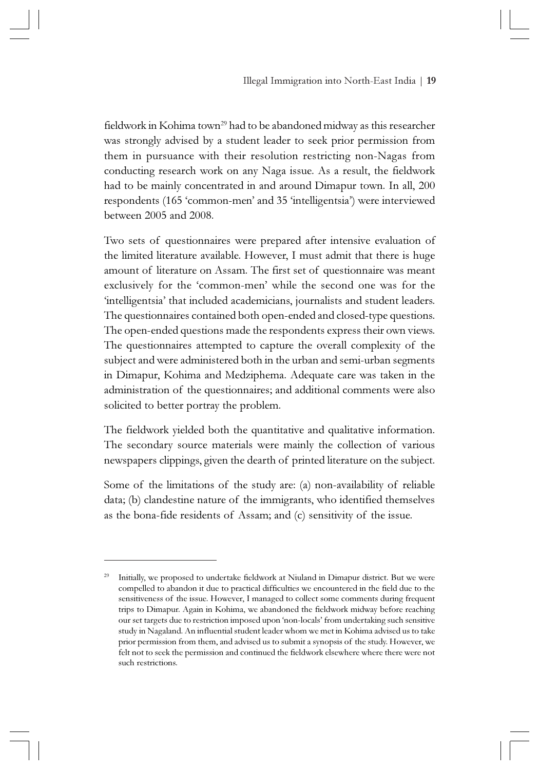fieldwork in Kohima town<sup>29</sup> had to be abandoned midway as this researcher was strongly advised by a student leader to seek prior permission from them in pursuance with their resolution restricting non-Nagas from conducting research work on any Naga issue. As a result, the fieldwork had to be mainly concentrated in and around Dimapur town. In all, 200 respondents (165 'common-men' and 35 'intelligentsia') were interviewed between 2005 and 2008.

Two sets of questionnaires were prepared after intensive evaluation of the limited literature available. However, I must admit that there is huge amount of literature on Assam. The first set of questionnaire was meant exclusively for the 'common-men' while the second one was for the 'intelligentsia' that included academicians, journalists and student leaders. The questionnaires contained both open-ended and closed-type questions. The open-ended questions made the respondents express their own views. The questionnaires attempted to capture the overall complexity of the subject and were administered both in the urban and semi-urban segments in Dimapur, Kohima and Medziphema. Adequate care was taken in the administration of the questionnaires; and additional comments were also solicited to better portray the problem.

The fieldwork yielded both the quantitative and qualitative information. The secondary source materials were mainly the collection of various newspapers clippings, given the dearth of printed literature on the subject.

Some of the limitations of the study are: (a) non-availability of reliable data; (b) clandestine nature of the immigrants, who identified themselves as the bona-fide residents of Assam; and (c) sensitivity of the issue.

Initially, we proposed to undertake fieldwork at Niuland in Dimapur district. But we were compelled to abandon it due to practical difficulties we encountered in the field due to the sensitiveness of the issue. However, I managed to collect some comments during frequent trips to Dimapur. Again in Kohima, we abandoned the fieldwork midway before reaching our set targets due to restriction imposed upon 'non-locals' from undertaking such sensitive study in Nagaland. An influential student leader whom we met in Kohima advised us to take prior permission from them, and advised us to submit a synopsis of the study. However, we felt not to seek the permission and continued the fieldwork elsewhere where there were not such restrictions.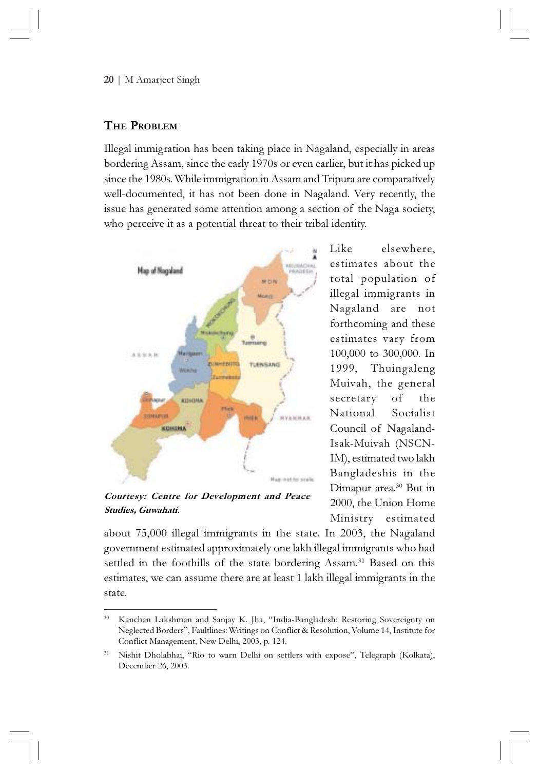#### THE PROBLEM

Illegal immigration has been taking place in Nagaland, especially in areas bordering Assam, since the early 1970s or even earlier, but it has picked up since the 1980s. While immigration in Assam and Tripura are comparatively well-documented, it has not been done in Nagaland. Very recently, the issue has generated some attention among a section of the Naga society, who perceive it as a potential threat to their tribal identity.



Courtesy: Centre for Development and Peace Studies, Guwahati.

Like elsewhere, estimates about the total population of illegal immigrants in Nagaland are not forthcoming and these estimates vary from 100,000 to 300,000. In 1999, Thuingaleng Muivah, the general secretary of the National Socialist Council of Nagaland-Isak-Muivah (NSCN-IM), estimated two lakh Bangladeshis in the Dimapur area.<sup>30</sup> But in 2000, the Union Home Ministry estimated

about 75,000 illegal immigrants in the state. In 2003, the Nagaland government estimated approximately one lakh illegal immigrants who had settled in the foothills of the state bordering Assam.<sup>31</sup> Based on this estimates, we can assume there are at least 1 lakh illegal immigrants in the state.

<sup>30</sup> Kanchan Lakshman and Sanjay K. Jha, "India-Bangladesh: Restoring Sovereignty on Neglected Borders", Faultlines: Writings on Conflict & Resolution, Volume 14, Institute for Conflict Management, New Delhi, 2003, p. 124.

<sup>31</sup> Nishit Dholabhai, "Rio to warn Delhi on settlers with expose", Telegraph (Kolkata), December 26, 2003.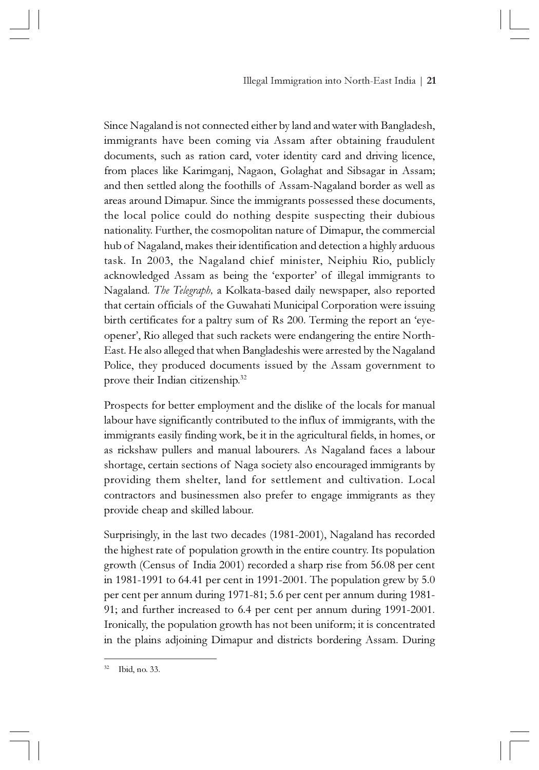Since Nagaland is not connected either by land and water with Bangladesh, immigrants have been coming via Assam after obtaining fraudulent documents, such as ration card, voter identity card and driving licence, from places like Karimganj, Nagaon, Golaghat and Sibsagar in Assam; and then settled along the foothills of Assam-Nagaland border as well as areas around Dimapur. Since the immigrants possessed these documents, the local police could do nothing despite suspecting their dubious nationality. Further, the cosmopolitan nature of Dimapur, the commercial hub of Nagaland, makes their identification and detection a highly arduous task. In 2003, the Nagaland chief minister, Neiphiu Rio, publicly acknowledged Assam as being the 'exporter' of illegal immigrants to Nagaland. The Telegraph, a Kolkata-based daily newspaper, also reported that certain officials of the Guwahati Municipal Corporation were issuing birth certificates for a paltry sum of Rs 200. Terming the report an 'eyeopener', Rio alleged that such rackets were endangering the entire North-East. He also alleged that when Bangladeshis were arrested by the Nagaland Police, they produced documents issued by the Assam government to prove their Indian citizenship.<sup>32</sup>

Prospects for better employment and the dislike of the locals for manual labour have significantly contributed to the influx of immigrants, with the immigrants easily finding work, be it in the agricultural fields, in homes, or as rickshaw pullers and manual labourers. As Nagaland faces a labour shortage, certain sections of Naga society also encouraged immigrants by providing them shelter, land for settlement and cultivation. Local contractors and businessmen also prefer to engage immigrants as they provide cheap and skilled labour.

Surprisingly, in the last two decades (1981-2001), Nagaland has recorded the highest rate of population growth in the entire country. Its population growth (Census of India 2001) recorded a sharp rise from 56.08 per cent in 1981-1991 to 64.41 per cent in 1991-2001. The population grew by 5.0 per cent per annum during 1971-81; 5.6 per cent per annum during 1981- 91; and further increased to 6.4 per cent per annum during 1991-2001. Ironically, the population growth has not been uniform; it is concentrated in the plains adjoining Dimapur and districts bordering Assam. During

<sup>32</sup> Ibid, no. 33.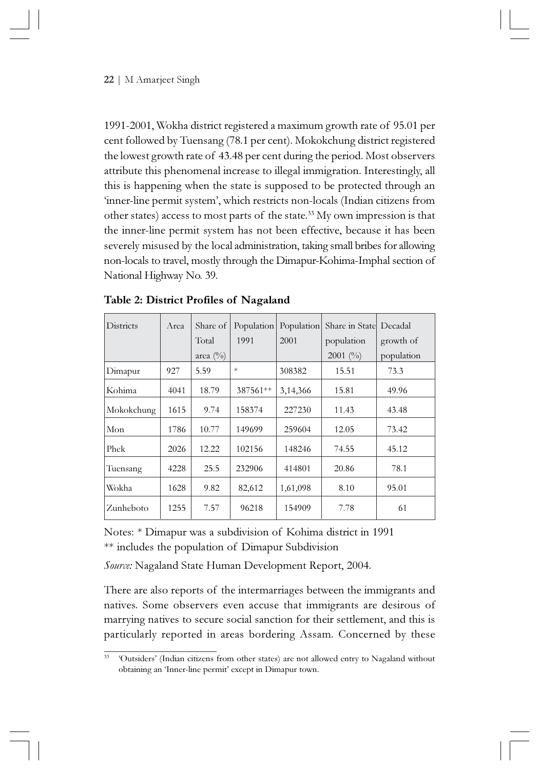1991-2001, Wokha district registered a maximum growth rate of 95.01 per cent followed by Tuensang (78.1 per cent). Mokokchung district registered the lowest growth rate of 43.48 per cent during the period. Most observers attribute this phenomenal increase to illegal immigration. Interestingly, all this is happening when the state is supposed to be protected through an 'inner-line permit system', which restricts non-locals (Indian citizens from other states) access to most parts of the state.<sup>33</sup> My own impression is that the inner-line permit system has not been effective, because it has been severely misused by the local administration, taking small bribes for allowing non-locals to travel, mostly through the Dimapur-Kohima-Imphal section of National Highway No. 39.

| Districts  | Area | Share of    |          |          | Population   Population   Share in State   Decadal |            |
|------------|------|-------------|----------|----------|----------------------------------------------------|------------|
|            |      | Total       | 1991     | 2001     | population                                         | growth of  |
|            |      | area $(\%)$ |          |          | $2001~(^{0}_{0})$                                  | population |
| Dimapur    | 927  | 5.59        | $\ast$   | 308382   | 15.51                                              | 73.3       |
| Kohima     | 4041 | 18.79       | 387561** | 3,14,366 | 15.81                                              | 49.96      |
| Mokokchung | 1615 | 9.74        | 158374   | 227230   | 11.43                                              | 43.48      |
| Mon        | 1786 | 10.77       | 149699   | 259604   | 12.05                                              | 73.42      |
| Phek       | 2026 | 12.22       | 102156   | 148246   | 74.55                                              | 45.12      |
| Tuensang   | 4228 | 25.5        | 232906   | 414801   | 20.86                                              | 78.1       |
| Wokha      | 1628 | 9.82        | 82,612   | 1,61,098 | 8.10                                               | 95.01      |
| Zunheboto  | 1255 | 7.57        | 96218    | 154909   | 7.78                                               | 61         |

Table 2: District Profiles of Nagaland

Notes: \* Dimapur was a subdivision of Kohima district in 1991 \*\* includes the population of Dimapur Subdivision

Source: Nagaland State Human Development Report, 2004.

There are also reports of the intermarriages between the immigrants and natives. Some observers even accuse that immigrants are desirous of marrying natives to secure social sanction for their settlement, and this is particularly reported in areas bordering Assam. Concerned by these

<sup>33</sup> 'Outsiders' (Indian citizens from other states) are not allowed entry to Nagaland without obtaining an 'Inner-line permit' except in Dimapur town.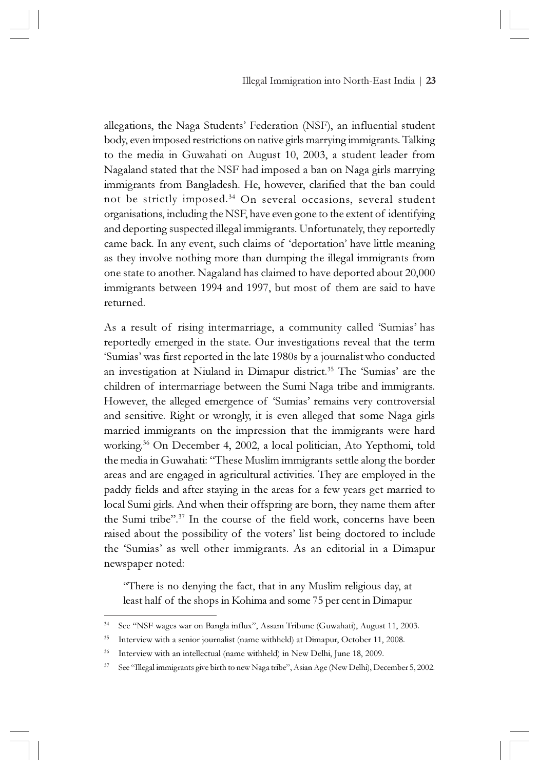#### Illegal Immigration into North-East India | 23

allegations, the Naga Students' Federation (NSF), an influential student body, even imposed restrictions on native girls marrying immigrants. Talking to the media in Guwahati on August 10, 2003, a student leader from Nagaland stated that the NSF had imposed a ban on Naga girls marrying immigrants from Bangladesh. He, however, clarified that the ban could not be strictly imposed.<sup>34</sup> On several occasions, several student organisations, including the NSF, have even gone to the extent of identifying and deporting suspected illegal immigrants. Unfortunately, they reportedly came back. In any event, such claims of 'deportation' have little meaning as they involve nothing more than dumping the illegal immigrants from one state to another. Nagaland has claimed to have deported about 20,000 immigrants between 1994 and 1997, but most of them are said to have returned.

As a result of rising intermarriage, a community called 'Sumias' has reportedly emerged in the state. Our investigations reveal that the term 'Sumias' was first reported in the late 1980s by a journalistwho conducted an investigation at Niuland in Dimapur district.<sup>35</sup> The 'Sumias' are the children of intermarriage between the Sumi Naga tribe and immigrants. However, the alleged emergence of 'Sumias' remains very controversial and sensitive. Right or wrongly, it is even alleged that some Naga girls married immigrants on the impression that the immigrants were hard working.<sup>36</sup> On December 4, 2002, a local politician, Ato Yepthomi, told the media in Guwahati: "These Muslim immigrants settle along the border areas and are engaged in agricultural activities. They are employed in the paddy fields and after staying in the areas for a few years get married to local Sumi girls. And when their offspring are born, they name them after the Sumi tribe".<sup>37</sup> In the course of the field work, concerns have been raised about the possibility of the voters' list being doctored to include the 'Sumias' as well other immigrants. As an editorial in a Dimapur newspaper noted:

"There is no denying the fact, that in any Muslim religious day, at least half of the shops in Kohima and some 75 per cent in Dimapur

<sup>34</sup> See "NSF wages war on Bangla influx", Assam Tribune (Guwahati), August 11, 2003.

<sup>35</sup> Interview with a senior journalist (name withheld) at Dimapur, October 11, 2008.

<sup>&</sup>lt;sup>36</sup> Interview with an intellectual (name withheld) in New Delhi, June 18, 2009.

<sup>37</sup> See "Illegal immigrants give birth to new Naga tribe", Asian Age (New Delhi), December 5, 2002.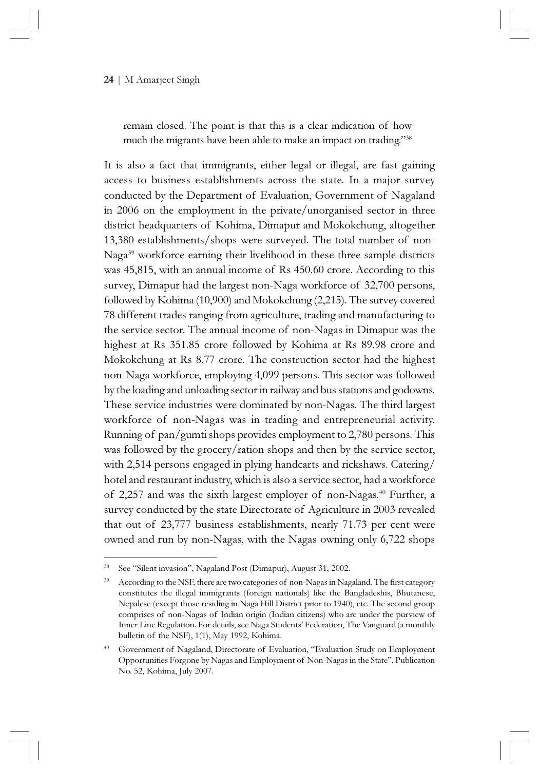remain closed. The point is that this is a clear indication of how much the migrants have been able to make an impact on trading."<sup>38</sup>

It is also a fact that immigrants, either legal or illegal, are fast gaining access to business establishments across the state. In a major survey conducted by the Department of Evaluation, Government of Nagaland in 2006 on the employment in the private/unorganised sector in three district headquarters of Kohima, Dimapur and Mokokchung, altogether 13,380 establishments/shops were surveyed. The total number of non-Naga<sup>39</sup> workforce earning their livelihood in these three sample districts was 45,815, with an annual income of Rs 450.60 crore. According to this survey, Dimapur had the largest non-Naga workforce of 32,700 persons, followed by Kohima (10,900) and Mokokchung (2,215). The survey covered 78 different trades ranging from agriculture, trading and manufacturing to the service sector. The annual income of non-Nagas in Dimapur was the highest at Rs 351.85 crore followed by Kohima at Rs 89.98 crore and Mokokchung at Rs 8.77 crore. The construction sector had the highest non-Naga workforce, employing 4,099 persons. This sector was followed by the loading and unloading sector in railway and bus stations and godowns. These service industries were dominated by non-Nagas. The third largest workforce of non-Nagas was in trading and entrepreneurial activity. Running of pan/gumti shops provides employment to 2,780 persons. This was followed by the grocery/ration shops and then by the service sector, with 2,514 persons engaged in plying handcarts and rickshaws. Catering/ hotel and restaurant industry, which is also a service sector, had a workforce of 2,257 and was the sixth largest employer of non-Nagas.<sup>40</sup> Further, a survey conducted by the state Directorate of Agriculture in 2003 revealed that out of 23,777 business establishments, nearly 71.73 per cent were owned and run by non-Nagas, with the Nagas owning only 6,722 shops

<sup>38</sup> See "Silent invasion", Nagaland Post (Dimapur), August 31, 2002.

<sup>&</sup>lt;sup>39</sup> According to the NSF, there are two categories of non-Nagas in Nagaland. The first category constitutes the illegal immigrants (foreign nationals) like the Bangladeshis, Bhutanese, Nepalese (except those residing in Naga Hill District prior to 1940), etc. The second group comprises of non-Nagas of Indian origin (Indian citizens) who are under the purview of Inner Line Regulation. For details, see Naga Students' Federation, The Vanguard (a monthly bulletin of the NSF), 1(1), May 1992, Kohima.

<sup>&</sup>lt;sup>40</sup> Government of Nagaland, Directorate of Evaluation, "Evaluation Study on Employment Opportunities Forgone by Nagas and Employment of Non-Nagas in the State", Publication No. 52, Kohima, July 2007.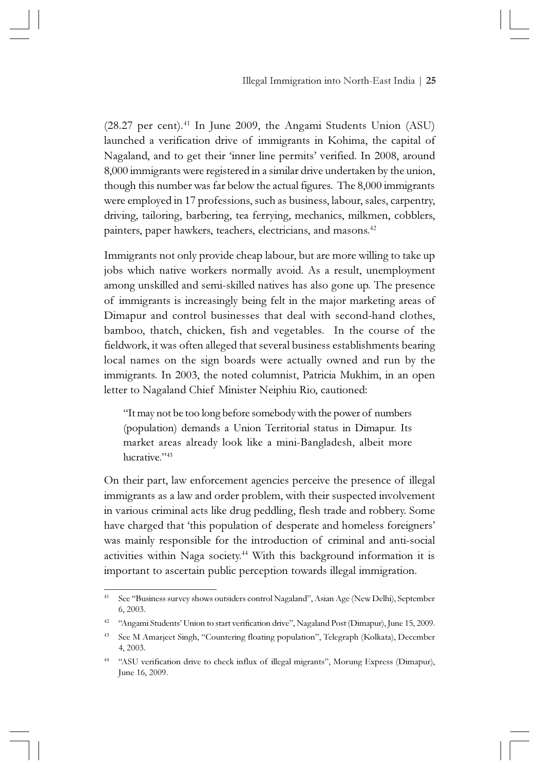$(28.27 \text{ per cent})$ .<sup>41</sup> In June 2009, the Angami Students Union  $(ASU)$ launched a verification drive of immigrants in Kohima, the capital of Nagaland, and to get their 'inner line permits' verified. In 2008, around 8,000 immigrants were registered in a similar drive undertaken by the union, though this number was far below the actual figures. The 8,000 immigrants were employed in 17 professions, such as business, labour, sales, carpentry, driving, tailoring, barbering, tea ferrying, mechanics, milkmen, cobblers, painters, paper hawkers, teachers, electricians, and masons.<sup>42</sup>

Immigrants not only provide cheap labour, but are more willing to take up jobs which native workers normally avoid. As a result, unemployment among unskilled and semi-skilled natives has also gone up. The presence of immigrants is increasingly being felt in the major marketing areas of Dimapur and control businesses that deal with second-hand clothes, bamboo, thatch, chicken, fish and vegetables. In the course of the fieldwork, it was often alleged that several business establishments bearing local names on the sign boards were actually owned and run by the immigrants. In 2003, the noted columnist, Patricia Mukhim, in an open letter to Nagaland Chief Minister Neiphiu Rio, cautioned:

"It may not be too long before somebody with the power of numbers (population) demands a Union Territorial status in Dimapur. Its market areas already look like a mini-Bangladesh, albeit more lucrative."<sup>43</sup>

On their part, law enforcement agencies perceive the presence of illegal immigrants as a law and order problem, with their suspected involvement in various criminal acts like drug peddling, flesh trade and robbery. Some have charged that 'this population of desperate and homeless foreigners' was mainly responsible for the introduction of criminal and anti-social activities within Naga society.<sup>44</sup> With this background information it is important to ascertain public perception towards illegal immigration.

<sup>41</sup> See "Business survey shows outsiders control Nagaland", Asian Age (New Delhi), September 6, 2003.

<sup>&</sup>lt;sup>42</sup> "Angami Students' Union to start verification drive", Nagaland Post (Dimapur), June 15, 2009.

<sup>43</sup> See M Amarjeet Singh, "Countering floating population", Telegraph (Kolkata), December 4, 2003.

<sup>44</sup> "ASU verification drive to check influx of illegal migrants", Morung Express (Dimapur), June 16, 2009.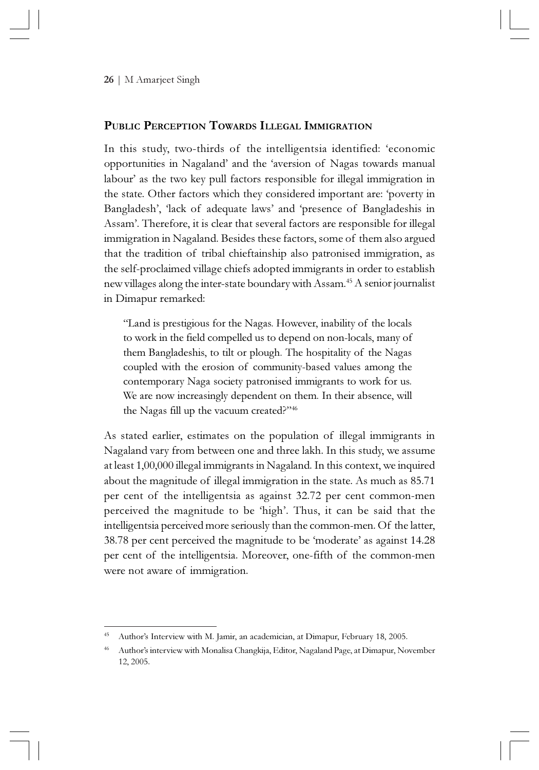#### PUBLIC PERCEPTION TOWARDS ILLEGAL IMMIGRATION

In this study, two-thirds of the intelligentsia identified: 'economic opportunities in Nagaland' and the 'aversion of Nagas towards manual labour' as the two key pull factors responsible for illegal immigration in the state. Other factors which they considered important are: 'poverty in Bangladesh', 'lack of adequate laws' and 'presence of Bangladeshis in Assam'. Therefore, it is clear that several factors are responsible for illegal immigration in Nagaland. Besides these factors, some of them also argued that the tradition of tribal chieftainship also patronised immigration, as the self-proclaimed village chiefs adopted immigrants in order to establish new villages along the inter-state boundary with Assam.<sup>45</sup> A senior journalist in Dimapur remarked:

"Land is prestigious for the Nagas. However, inability of the locals to work in the field compelled us to depend on non-locals, many of them Bangladeshis, to tilt or plough. The hospitality of the Nagas coupled with the erosion of community-based values among the contemporary Naga society patronised immigrants to work for us. We are now increasingly dependent on them. In their absence, will the Nagas fill up the vacuum created?"<sup>46</sup>

As stated earlier, estimates on the population of illegal immigrants in Nagaland vary from between one and three lakh. In this study, we assume at least 1,00,000 illegal immigrants in Nagaland. In this context, we inquired about the magnitude of illegal immigration in the state. As much as 85.71 per cent of the intelligentsia as against 32.72 per cent common-men perceived the magnitude to be 'high'. Thus, it can be said that the intelligentsia perceived more seriously than the common-men. Of the latter, 38.78 per cent perceived the magnitude to be 'moderate' as against 14.28 per cent of the intelligentsia. Moreover, one-fifth of the common-men were not aware of immigration.

Author's Interview with M. Jamir, an academician, at Dimapur, February 18, 2005.

<sup>46</sup> Author's interview with Monalisa Changkija, Editor, Nagaland Page, at Dimapur, November 12, 2005.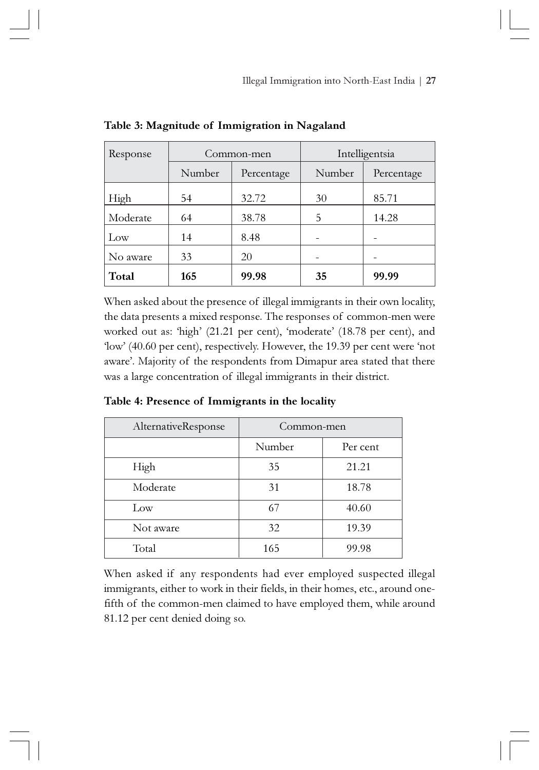| Response | Common-men           |       | Intelligentsia |            |
|----------|----------------------|-------|----------------|------------|
|          | Number<br>Percentage |       | Number         | Percentage |
| High     | 54                   | 32.72 | 30             | 85.71      |
| Moderate | 64                   | 38.78 | 5              | 14.28      |
| Low      | 14                   | 8.48  |                |            |
| No aware | 33                   | 20    |                |            |
| Total    | 165                  | 99.98 | 35             | 99.99      |

Table 3: Magnitude of Immigration in Nagaland

When asked about the presence of illegal immigrants in their own locality, the data presents a mixed response. The responses of common-men were worked out as: 'high' (21.21 per cent), 'moderate' (18.78 per cent), and 'low' (40.60 per cent), respectively. However, the 19.39 per cent were 'not aware'. Majority of the respondents from Dimapur area stated that there was a large concentration of illegal immigrants in their district.

Table 4: Presence of Immigrants in the locality

| AlternativeResponse | Common-men |          |  |
|---------------------|------------|----------|--|
|                     | Number     | Per cent |  |
| High                | 35         | 21.21    |  |
| Moderate            | 31         | 18.78    |  |
| Low                 | 67         | 40.60    |  |
| Not aware           | 32         | 19.39    |  |
| Total               | 165        | 99.98    |  |

When asked if any respondents had ever employed suspected illegal immigrants, either to work in their fields, in their homes, etc., around onefifth of the common-men claimed to have employed them, while around 81.12 per cent denied doing so.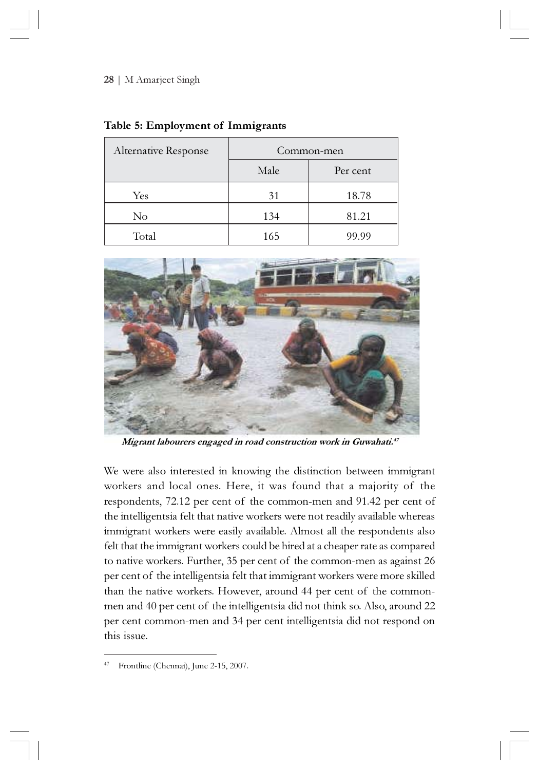| Alternative Response | Common-men |          |  |
|----------------------|------------|----------|--|
|                      | Male       | Per cent |  |
| Yes                  | 31         | 18.78    |  |
| $\rm No$             | 134        | 81.21    |  |
| Total                | 165        | 99.99    |  |

#### Table 5: Employment of Immigrants



Migrant labourers engaged in road construction work in Guwahati. $^{47}$ 

We were also interested in knowing the distinction between immigrant workers and local ones. Here, it was found that a majority of the respondents, 72.12 per cent of the common-men and 91.42 per cent of the intelligentsia felt that native workers were not readily available whereas immigrant workers were easily available. Almost all the respondents also felt that the immigrant workers could be hired at a cheaper rate as compared to native workers. Further, 35 per cent of the common-men as against 26 per cent of the intelligentsia felt that immigrant workers were more skilled than the native workers. However, around 44 per cent of the commonmen and 40 per cent of the intelligentsia did not think so. Also, around 22 per cent common-men and 34 per cent intelligentsia did not respond on this issue.

Frontline (Chennai), June 2-15, 2007.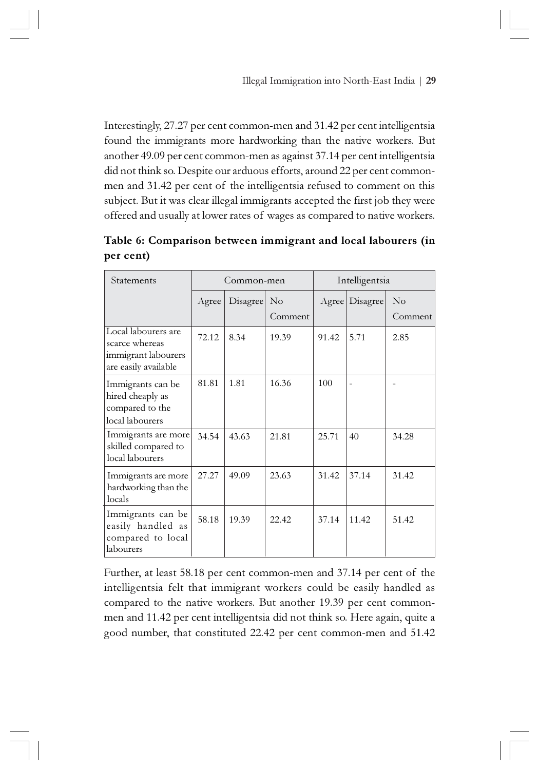Interestingly, 27.27 per cent common-men and 31.42 per cent intelligentsia found the immigrants more hardworking than the native workers. But another 49.09 per cent common-men as against 37.14 per cent intelligentsia did not think so. Despite our arduous efforts, around 22 per cent commonmen and 31.42 per cent of the intelligentsia refused to comment on this subject. But it was clear illegal immigrants accepted the first job they were offered and usually at lower rates of wages as compared to native workers.

| <b>Statements</b>                                                                    | Common-men |          |                     | Intelligentsia |                  |               |
|--------------------------------------------------------------------------------------|------------|----------|---------------------|----------------|------------------|---------------|
|                                                                                      | Agree      | Disagree | $\rm No$<br>Comment |                | Agree   Disagree | No<br>Comment |
| Local labourers are<br>scarce whereas<br>immigrant labourers<br>are easily available | 72.12      | 8.34     | 19.39               | 91.42          | 5.71             | 2.85          |
| Immigrants can be<br>hired cheaply as<br>compared to the<br>local labourers          | 81.81      | 1.81     | 16.36               | 100            |                  |               |
| Immigrants are more<br>skilled compared to<br>local labourers                        | 34.54      | 43.63    | 21.81               | 25.71          | 40               | 34.28         |
| Immigrants are more<br>hardworking than the<br>locals                                | 27.27      | 49.09    | 23.63               | 31.42          | 37.14            | 31.42         |
| Immigrants can be<br>easily handled as<br>compared to local<br>labourers             | 58.18      | 19.39    | 22.42               | 37.14          | 11.42            | 51.42         |

Table 6: Comparison between immigrant and local labourers (in per cent)

Further, at least 58.18 per cent common-men and 37.14 per cent of the intelligentsia felt that immigrant workers could be easily handled as compared to the native workers. But another 19.39 per cent commonmen and 11.42 per cent intelligentsia did not think so. Here again, quite a good number, that constituted 22.42 per cent common-men and 51.42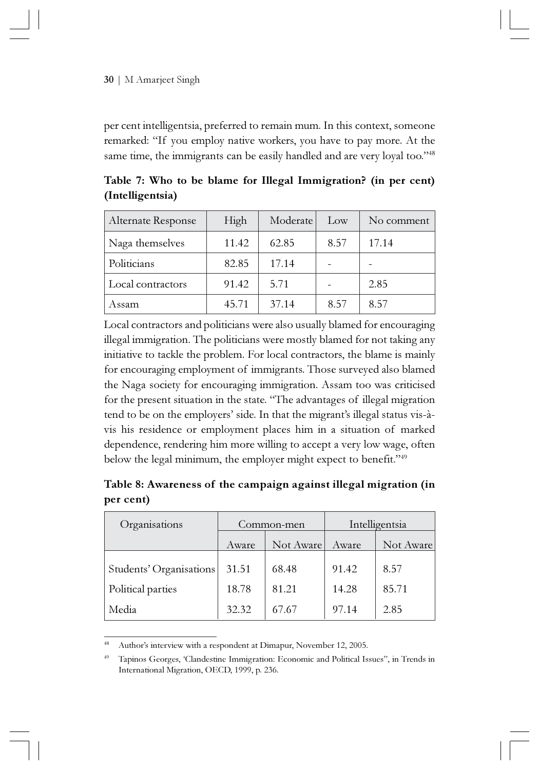per cent intelligentsia, preferred to remain mum. In this context, someone remarked: "If you employ native workers, you have to pay more. At the same time, the immigrants can be easily handled and are very loyal too."<sup>48</sup>

| Alternate Response | High  | Moderate | Low  | No comment |
|--------------------|-------|----------|------|------------|
| Naga themselves    | 11.42 | 62.85    | 8.57 | 17.14      |
| Politicians        | 82.85 | 17.14    |      |            |
| Local contractors  | 91.42 | 5.71     |      | 2.85       |
| Assam              | 45.71 | 37.14    | 8.57 | 8.57       |

Table 7: Who to be blame for Illegal Immigration? (in per cent) (Intelligentsia)

Local contractors and politicians were also usually blamed for encouraging illegal immigration. The politicians were mostly blamed for not taking any initiative to tackle the problem. For local contractors, the blame is mainly for encouraging employment of immigrants. Those surveyed also blamed the Naga society for encouraging immigration. Assam too was criticised for the present situation in the state. "The advantages of illegal migration tend to be on the employers' side. In that the migrant's illegal status vis-àvis his residence or employment places him in a situation of marked dependence, rendering him more willing to accept a very low wage, often below the legal minimum, the employer might expect to benefit."<sup>49</sup>

Table 8: Awareness of the campaign against illegal migration (in per cent)

| Organisations           | Common-men |           | Intelligentsia |           |
|-------------------------|------------|-----------|----------------|-----------|
|                         | Aware      | Not Aware | Aware          | Not Aware |
| Students' Organisations | 31.51      | 68.48     | 91.42          | 8.57      |
| Political parties       | 18.78      | 81.21     | 14.28          | 85.71     |
| Media                   | 32.32      | 67.67     | 97.14          | 2.85      |

Author's interview with a respondent at Dimapur, November 12, 2005.

<sup>49</sup> Tapinos Georges, 'Clandestine Immigration: Economic and Political Issues", in Trends in International Migration, OECD, 1999, p. 236.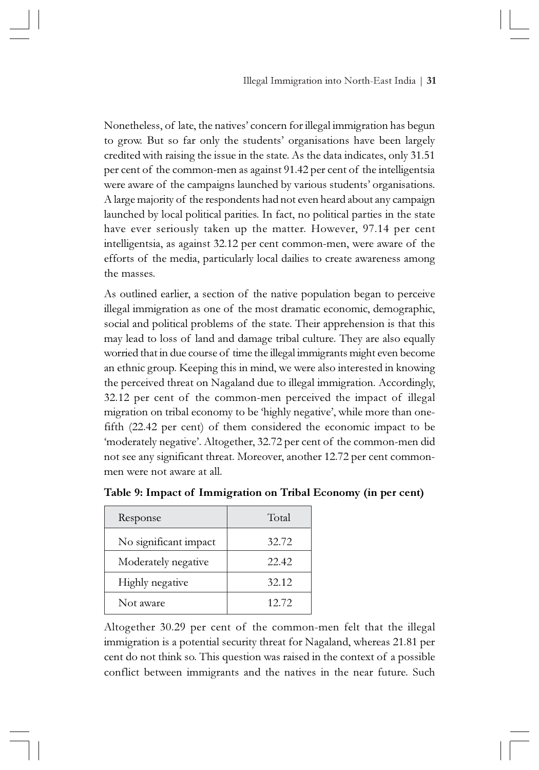Nonetheless, of late, the natives' concern for illegal immigration has begun to grow. But so far only the students' organisations have been largely credited with raising the issue in the state. As the data indicates, only 31.51 per cent of the common-men as against 91.42 per cent of the intelligentsia were aware of the campaigns launched by various students' organisations. A large majority of the respondents had not even heard about any campaign launched by local political parities. In fact, no political parties in the state have ever seriously taken up the matter. However, 97.14 per cent intelligentsia, as against 32.12 per cent common-men, were aware of the efforts of the media, particularly local dailies to create awareness among the masses.

As outlined earlier, a section of the native population began to perceive illegal immigration as one of the most dramatic economic, demographic, social and political problems of the state. Their apprehension is that this may lead to loss of land and damage tribal culture. They are also equally worried that in due course of time the illegal immigrants might even become an ethnic group. Keeping this in mind, we were also interested in knowing the perceived threat on Nagaland due to illegal immigration. Accordingly, 32.12 per cent of the common-men perceived the impact of illegal migration on tribal economy to be 'highly negative', while more than onefifth (22.42 per cent) of them considered the economic impact to be 'moderately negative'. Altogether, 32.72 per cent of the common-men did not see any significant threat. Moreover, another 12.72 per cent commonmen were not aware at all.

| Response              | Total |
|-----------------------|-------|
| No significant impact | 32.72 |
| Moderately negative   | 22.42 |
| Highly negative       | 32.12 |
| Not aware             | 12.72 |

Table 9: Impact of Immigration on Tribal Economy (in per cent)

Altogether 30.29 per cent of the common-men felt that the illegal immigration is a potential security threat for Nagaland, whereas 21.81 per cent do not think so. This question was raised in the context of a possible conflict between immigrants and the natives in the near future. Such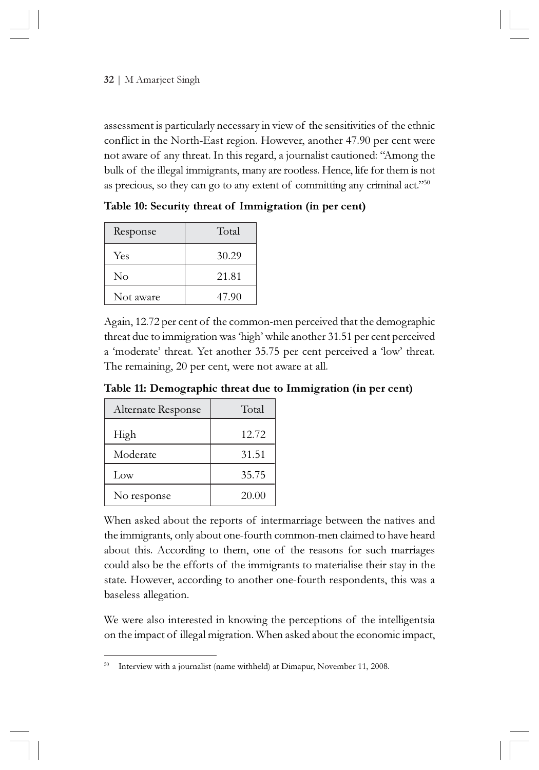assessment is particularly necessary in view of the sensitivities of the ethnic conflict in the North-East region. However, another 47.90 per cent were not aware of any threat. In this regard, a journalist cautioned: "Among the bulk of the illegal immigrants, many are rootless. Hence, life for them is not as precious, so they can go to any extent of committing any criminal act."<sup>50</sup>

| Response  | Total |
|-----------|-------|
| Yes       | 30.29 |
| $\rm No$  | 21.81 |
| Not aware | 47.90 |

Table 10: Security threat of Immigration (in per cent)

Again, 12.72 per cent of the common-men perceived that the demographic threat due to immigration was 'high' while another 31.51 per cent perceived a 'moderate' threat. Yet another 35.75 per cent perceived a 'low' threat. The remaining, 20 per cent, were not aware at all.

Table 11: Demographic threat due to Immigration (in per cent)

| Alternate Response | Total |
|--------------------|-------|
| High               | 12.72 |
| Moderate           | 31.51 |
| Low                | 35.75 |
| No response        | 20.00 |

When asked about the reports of intermarriage between the natives and the immigrants, only about one-fourth common-men claimed to have heard about this. According to them, one of the reasons for such marriages could also be the efforts of the immigrants to materialise their stay in the state. However, according to another one-fourth respondents, this was a baseless allegation.

We were also interested in knowing the perceptions of the intelligentsia on the impact of illegal migration. When asked about the economic impact,

<sup>50</sup> Interview with a journalist (name withheld) at Dimapur, November 11, 2008.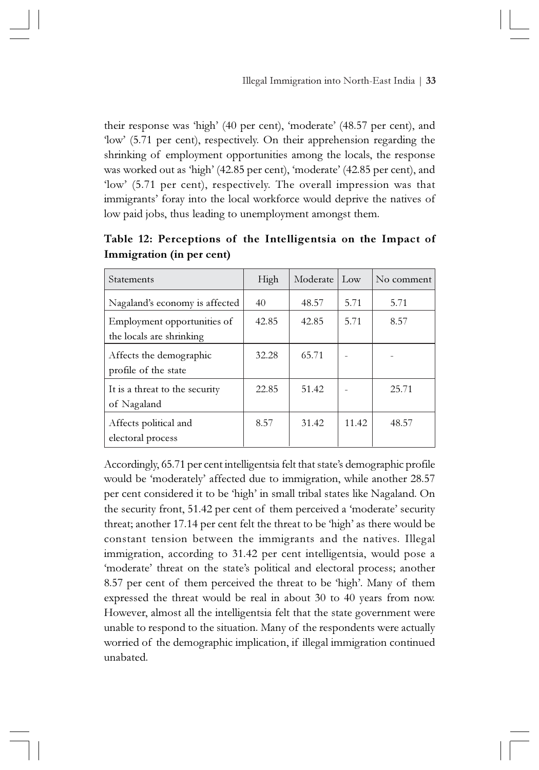their response was 'high' (40 per cent), 'moderate' (48.57 per cent), and 'low' (5.71 per cent), respectively. On their apprehension regarding the shrinking of employment opportunities among the locals, the response was worked out as 'high' (42.85 per cent), 'moderate' (42.85 per cent), and 'low' (5.71 per cent), respectively. The overall impression was that immigrants' foray into the local workforce would deprive the natives of low paid jobs, thus leading to unemployment amongst them.

| Statements                                              | High  | Moderate | Low   | No comment |
|---------------------------------------------------------|-------|----------|-------|------------|
| Nagaland's economy is affected                          | 40    | 48.57    | 5.71  | 5.71       |
| Employment opportunities of<br>the locals are shrinking | 42.85 | 42.85    | 5.71  | 8.57       |
| Affects the demographic<br>profile of the state         | 32.28 | 65.71    |       |            |
| It is a threat to the security<br>of Nagaland           | 22.85 | 51.42    |       | 25.71      |
| Affects political and<br>electoral process              | 8.57  | 31.42    | 11.42 | 48.57      |

Table 12: Perceptions of the Intelligentsia on the Impact of Immigration (in per cent)

Accordingly, 65.71 per cent intelligentsia felt that state's demographic profile would be 'moderately' affected due to immigration, while another 28.57 per cent considered it to be 'high' in small tribal states like Nagaland. On the security front, 51.42 per cent of them perceived a 'moderate' security threat; another 17.14 per cent felt the threat to be 'high' as there would be constant tension between the immigrants and the natives. Illegal immigration, according to 31.42 per cent intelligentsia, would pose a 'moderate' threat on the state's political and electoral process; another 8.57 per cent of them perceived the threat to be 'high'. Many of them expressed the threat would be real in about 30 to 40 years from now. However, almost all the intelligentsia felt that the state government were unable to respond to the situation. Many of the respondents were actually worried of the demographic implication, if illegal immigration continued unabated.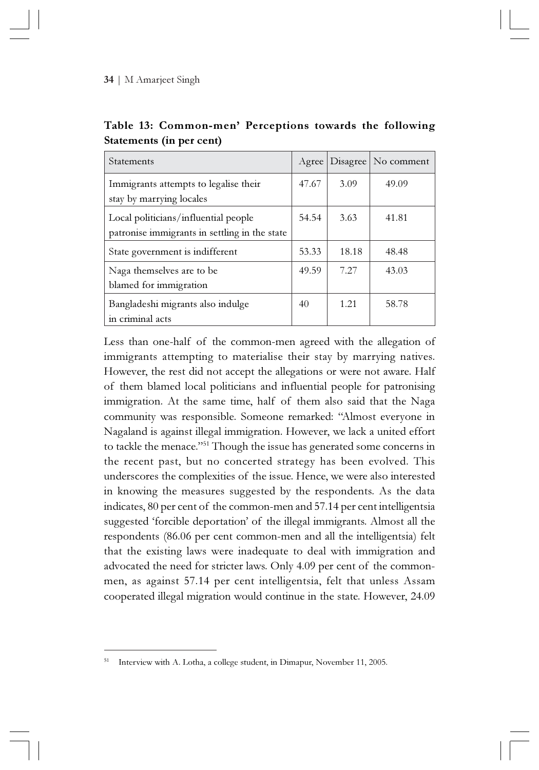| <b>Statements</b>                             | Agree | Disagree | No comment |
|-----------------------------------------------|-------|----------|------------|
| Immigrants attempts to legalise their         | 47.67 | 3.09     | 49.09      |
| stay by marrying locales                      |       |          |            |
| Local politicians/influential people          | 54.54 | 3.63     | 41.81      |
| patronise immigrants in settling in the state |       |          |            |
| State government is indifferent               | 53.33 | 18.18    | 48.48      |
| Naga themselves are to be                     | 49.59 | 7.27     | 43.03      |
| blamed for immigration                        |       |          |            |
| Bangladeshi migrants also indulge             | 40    | 1.21     | 58.78      |
| in criminal acts                              |       |          |            |

Table 13: Common-men' Perceptions towards the following Statements (in per cent)

Less than one-half of the common-men agreed with the allegation of immigrants attempting to materialise their stay by marrying natives. However, the rest did not accept the allegations or were not aware. Half of them blamed local politicians and influential people for patronising immigration. At the same time, half of them also said that the Naga community was responsible. Someone remarked: "Almost everyone in Nagaland is against illegal immigration. However, we lack a united effort to tackle the menace."<sup>51</sup> Though the issue has generated some concerns in the recent past, but no concerted strategy has been evolved. This underscores the complexities of the issue. Hence, we were also interested in knowing the measures suggested by the respondents. As the data indicates, 80 per cent of the common-men and 57.14 per cent intelligentsia suggested 'forcible deportation' of the illegal immigrants. Almost all the respondents (86.06 per cent common-men and all the intelligentsia) felt that the existing laws were inadequate to deal with immigration and advocated the need for stricter laws. Only 4.09 per cent of the commonmen, as against 57.14 per cent intelligentsia, felt that unless Assam cooperated illegal migration would continue in the state. However, 24.09

<sup>&</sup>lt;sup>51</sup> Interview with A. Lotha, a college student, in Dimapur, November 11, 2005.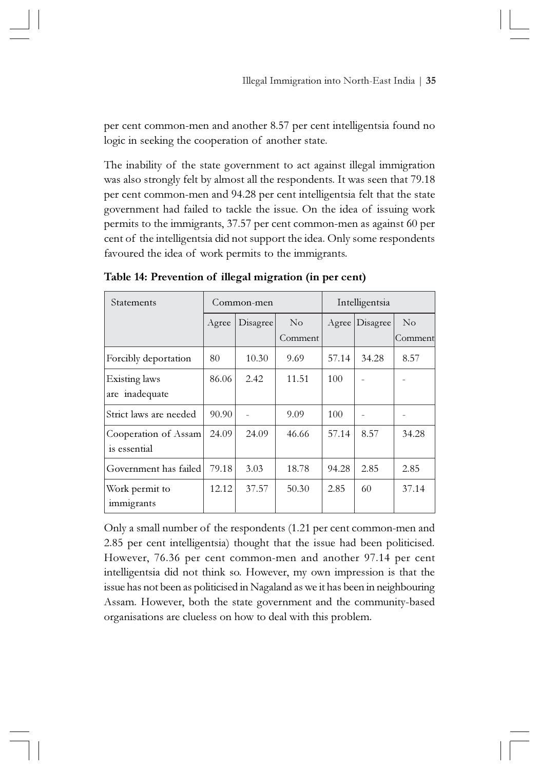per cent common-men and another 8.57 per cent intelligentsia found no logic in seeking the cooperation of another state.

The inability of the state government to act against illegal immigration was also strongly felt by almost all the respondents. It was seen that 79.18 per cent common-men and 94.28 per cent intelligentsia felt that the state government had failed to tackle the issue. On the idea of issuing work permits to the immigrants, 37.57 per cent common-men as against 60 per cent of the intelligentsia did not support the idea. Only some respondents favoured the idea of work permits to the immigrants.

| Statements                           | Common-men |          |          | Intelligentsia |          |          |
|--------------------------------------|------------|----------|----------|----------------|----------|----------|
|                                      | Agree      | Disagree | $\rm No$ | Agree          | Disagree | $\rm No$ |
|                                      |            |          | Comment  |                |          | Comment  |
| Forcibly deportation                 | 80         | 10.30    | 9.69     | 57.14          | 34.28    | 8.57     |
| Existing laws<br>are inadequate      | 86.06      | 2.42     | 11.51    | 100            |          |          |
| Strict laws are needed               | 90.90      |          | 9.09     | 100            |          |          |
| Cooperation of Assam<br>is essential | 24.09      | 24.09    | 46.66    | 57.14          | 8.57     | 34.28    |
| Government has failed                | 79.18      | 3.03     | 18.78    | 94.28          | 2.85     | 2.85     |
| Work permit to<br>immigrants         | 12.12      | 37.57    | 50.30    | 2.85           | 60       | 37.14    |

Table 14: Prevention of illegal migration (in per cent)

Only a small number of the respondents (1.21 per cent common-men and 2.85 per cent intelligentsia) thought that the issue had been politicised. However, 76.36 per cent common-men and another 97.14 per cent intelligentsia did not think so. However, my own impression is that the issue has not been as politicised in Nagaland as we it has been in neighbouring Assam. However, both the state government and the community-based organisations are clueless on how to deal with this problem.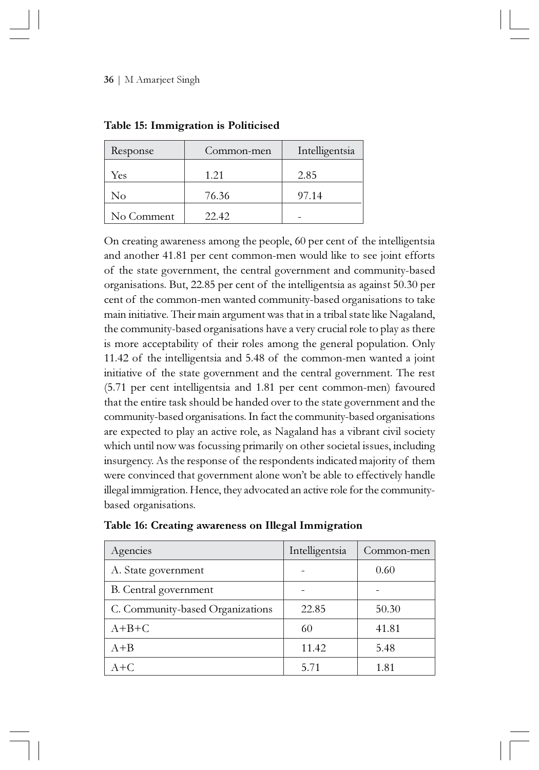| Response   | Common-men | Intelligentsia |
|------------|------------|----------------|
| Yes        | 1.21       | 2.85           |
| No         | 76.36      | 97.14          |
| No Comment | 22.42      |                |

|  |  | Table 15: Immigration is Politicised |  |  |  |  |  |  |
|--|--|--------------------------------------|--|--|--|--|--|--|
|--|--|--------------------------------------|--|--|--|--|--|--|

On creating awareness among the people, 60 per cent of the intelligentsia and another 41.81 per cent common-men would like to see joint efforts of the state government, the central government and community-based organisations. But, 22.85 per cent of the intelligentsia as against 50.30 per cent of the common-men wanted community-based organisations to take main initiative. Their main argument was that in a tribal state like Nagaland, the community-based organisations have a very crucial role to play as there is more acceptability of their roles among the general population. Only 11.42 of the intelligentsia and 5.48 of the common-men wanted a joint initiative of the state government and the central government. The rest (5.71 per cent intelligentsia and 1.81 per cent common-men) favoured that the entire task should be handed over to the state government and the community-based organisations. In fact the community-based organisations are expected to play an active role, as Nagaland has a vibrant civil society which until now was focussing primarily on other societal issues, including insurgency. As the response of the respondents indicated majority of them were convinced that government alone won't be able to effectively handle illegal immigration. Hence, they advocated an active role for the communitybased organisations.

| Agencies                         | Intelligentsia | Common-men |
|----------------------------------|----------------|------------|
| A. State government              |                | 0.60       |
| B. Central government            |                |            |
| C. Community-based Organizations | 22.85          | 50.30      |
| $A+B+C$                          | 60             | 41.81      |
| $A + B$                          | 11.42          | 5.48       |
| $A+C$                            | 5.71           | 1.81       |

Table 16: Creating awareness on Illegal Immigration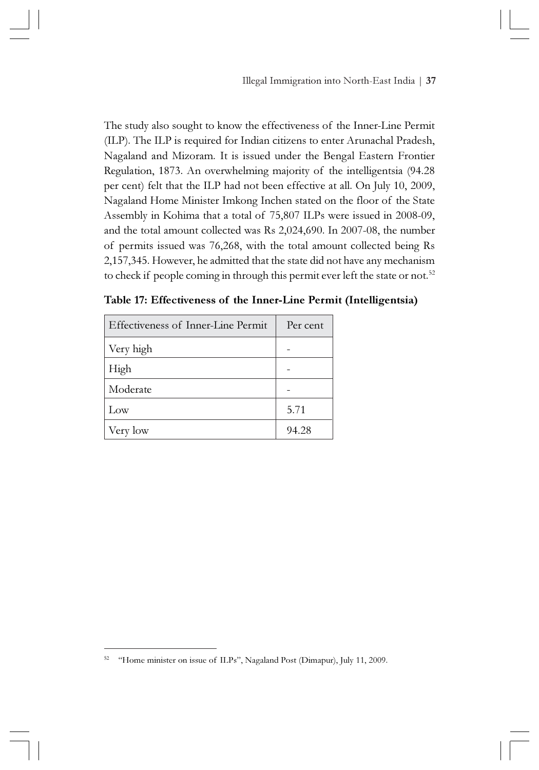The study also sought to know the effectiveness of the Inner-Line Permit (ILP). The ILP is required for Indian citizens to enter Arunachal Pradesh, Nagaland and Mizoram. It is issued under the Bengal Eastern Frontier Regulation, 1873. An overwhelming majority of the intelligentsia (94.28 per cent) felt that the ILP had not been effective at all. On July 10, 2009, Nagaland Home Minister Imkong Inchen stated on the floor of the State Assembly in Kohima that a total of 75,807 ILPs were issued in 2008-09, and the total amount collected was Rs 2,024,690. In 2007-08, the number of permits issued was 76,268, with the total amount collected being Rs 2,157,345. However, he admitted that the state did not have any mechanism to check if people coming in through this permit ever left the state or not.<sup>52</sup>

Table 17: Effectiveness of the Inner-Line Permit (Intelligentsia)

| Effectiveness of Inner-Line Permit | Per cent |
|------------------------------------|----------|
| Very high                          |          |
| High                               |          |
| Moderate                           |          |
| Low                                | 5.71     |
| Very low                           | 94.28    |

<sup>&</sup>lt;sup>52</sup> "Home minister on issue of ILPs", Nagaland Post (Dimapur), July 11, 2009.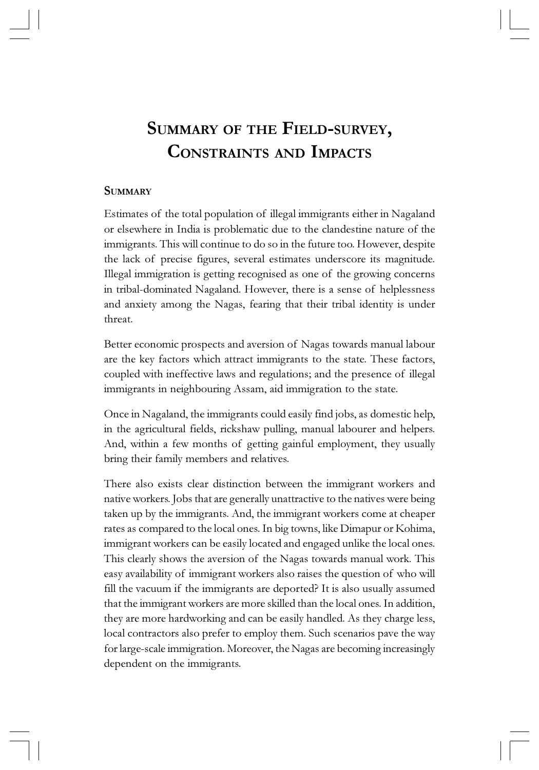## SUMMARY OF THE FIELD-SURVEY, CONSTRAINTS AND IMPACTS

#### **SUMMARY**

Estimates of the total population of illegal immigrants either in Nagaland or elsewhere in India is problematic due to the clandestine nature of the immigrants. This will continue to do so in the future too. However, despite the lack of precise figures, several estimates underscore its magnitude. Illegal immigration is getting recognised as one of the growing concerns in tribal-dominated Nagaland. However, there is a sense of helplessness and anxiety among the Nagas, fearing that their tribal identity is under threat.

Better economic prospects and aversion of Nagas towards manual labour are the key factors which attract immigrants to the state. These factors, coupled with ineffective laws and regulations; and the presence of illegal immigrants in neighbouring Assam, aid immigration to the state.

Once in Nagaland, the immigrants could easily find jobs, as domestic help, in the agricultural fields, rickshaw pulling, manual labourer and helpers. And, within a few months of getting gainful employment, they usually bring their family members and relatives.

There also exists clear distinction between the immigrant workers and native workers. Jobs that are generally unattractive to the natives were being taken up by the immigrants. And, the immigrant workers come at cheaper rates as compared to the local ones. In big towns, like Dimapur or Kohima, immigrant workers can be easily located and engaged unlike the local ones. This clearly shows the aversion of the Nagas towards manual work. This easy availability of immigrant workers also raises the question of who will fill the vacuum if the immigrants are deported? It is also usually assumed that the immigrant workers are more skilled than the local ones. In addition, they are more hardworking and can be easily handled. As they charge less, local contractors also prefer to employ them. Such scenarios pave the way for large-scale immigration. Moreover, the Nagas are becoming increasingly dependent on the immigrants.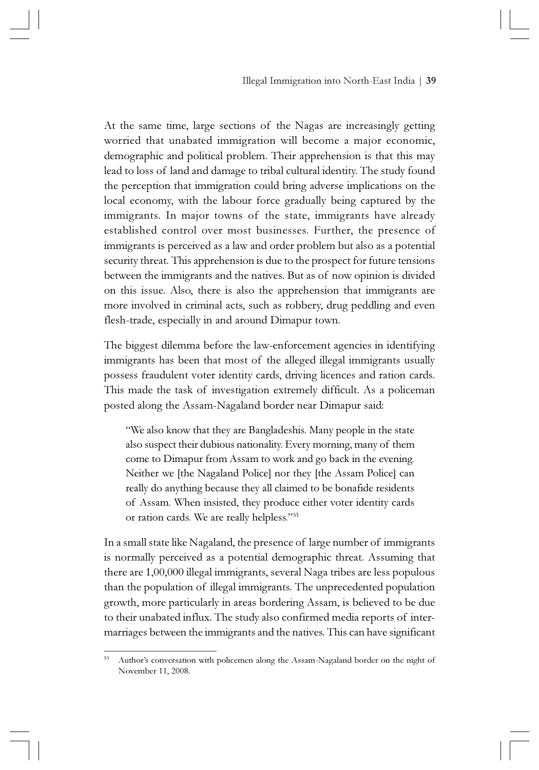At the same time, large sections of the Nagas are increasingly getting worried that unabated immigration will become a major economic, demographic and political problem. Their apprehension is that this may lead to loss of land and damage to tribal cultural identity. The study found the perception that immigration could bring adverse implications on the local economy, with the labour force gradually being captured by the immigrants. In major towns of the state, immigrants have already established control over most businesses. Further, the presence of immigrants is perceived as a law and order problem but also as a potential security threat. This apprehension is due to the prospect for future tensions between the immigrants and the natives. But as of now opinion is divided on this issue. Also, there is also the apprehension that immigrants are more involved in criminal acts, such as robbery, drug peddling and even flesh-trade, especially in and around Dimapur town.

The biggest dilemma before the law-enforcement agencies in identifying immigrants has been that most of the alleged illegal immigrants usually possess fraudulent voter identity cards, driving licences and ration cards. This made the task of investigation extremely difficult. As a policeman posted along the Assam-Nagaland border near Dimapur said:

"We also know that they are Bangladeshis. Many people in the state also suspect their dubious nationality. Every morning, many of them come to Dimapur from Assam to work and go back in the evening. Neither we [the Nagaland Police] nor they [the Assam Police] can really do anything because they all claimed to be bonafide residents of Assam. When insisted, they produce either voter identity cards or ration cards. We are really helpless."<sup>53</sup>

In a small state like Nagaland, the presence of large number of immigrants is normally perceived as a potential demographic threat. Assuming that there are 1,00,000 illegal immigrants, several Naga tribes are less populous than the population of illegal immigrants. The unprecedented population growth, more particularly in areas bordering Assam, is believed to be due to their unabated influx. The study also confirmed media reports of intermarriages between the immigrants and the natives. This can have significant

<sup>53</sup> Author's conversation with policemen along the Assam-Nagaland border on the night of November 11, 2008.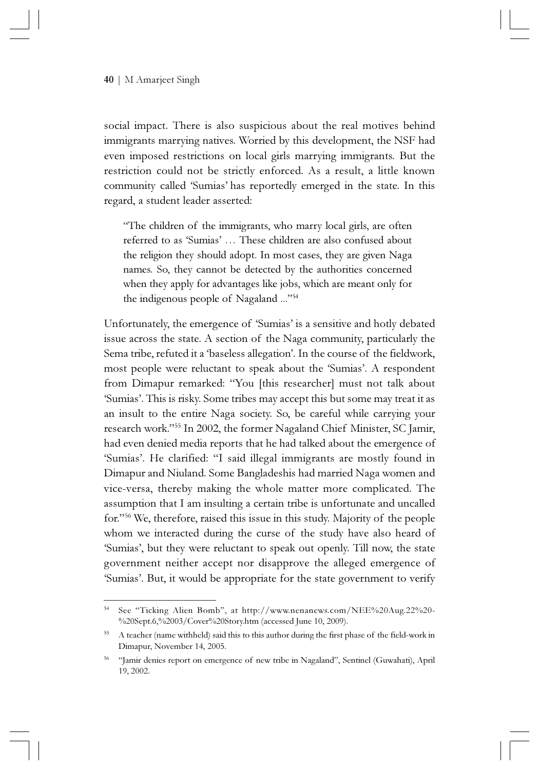social impact. There is also suspicious about the real motives behind immigrants marrying natives. Worried by this development, the NSF had even imposed restrictions on local girls marrying immigrants. But the restriction could not be strictly enforced. As a result, a little known community called 'Sumias' has reportedly emerged in the state. In this regard, a student leader asserted:

"The children of the immigrants, who marry local girls, are often referred to as 'Sumias' … These children are also confused about the religion they should adopt. In most cases, they are given Naga names. So, they cannot be detected by the authorities concerned when they apply for advantages like jobs, which are meant only for the indigenous people of Nagaland ..."<sup>54</sup>

Unfortunately, the emergence of 'Sumias' is a sensitive and hotly debated issue across the state. A section of the Naga community, particularly the Sema tribe, refuted it a 'baseless allegation'. In the course of the fieldwork, most people were reluctant to speak about the 'Sumias'. A respondent from Dimapur remarked: "You [this researcher] must not talk about 'Sumias'. This is risky. Some tribes may accept this but some may treat it as an insult to the entire Naga society. So, be careful while carrying your research work."<sup>55</sup> In 2002, the former Nagaland Chief Minister, SC Jamir, had even denied media reports that he had talked about the emergence of 'Sumias'. He clarified: "I said illegal immigrants are mostly found in Dimapur and Niuland. Some Bangladeshis had married Naga women and vice-versa, thereby making the whole matter more complicated. The assumption that I am insulting a certain tribe is unfortunate and uncalled for."<sup>56</sup> We, therefore, raised this issue in this study. Majority of the people whom we interacted during the curse of the study have also heard of 'Sumias', but they were reluctant to speak out openly. Till now, the state government neither accept nor disapprove the alleged emergence of 'Sumias'. But, it would be appropriate for the state government to verify

<sup>54</sup> See "Ticking Alien Bomb", at http://www.nenanews.com/NEE%20Aug.22%20- %20Sept.6,%2003/Cover%20Story.htm (accessed June 10, 2009).

<sup>&</sup>lt;sup>55</sup> A teacher (name withheld) said this to this author during the first phase of the field-work in Dimapur, November 14, 2005.

<sup>56</sup> "Jamir denies report on emergence of new tribe in Nagaland", Sentinel (Guwahati), April 19, 2002.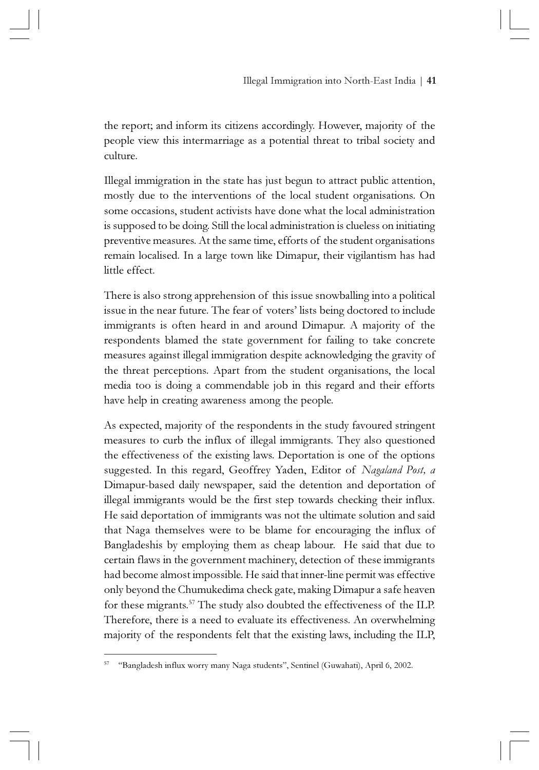the report; and inform its citizens accordingly. However, majority of the people view this intermarriage as a potential threat to tribal society and culture.

Illegal immigration in the state has just begun to attract public attention, mostly due to the interventions of the local student organisations. On some occasions, student activists have done what the local administration is supposed to be doing. Still the local administration is clueless on initiating preventive measures. At the same time, efforts of the student organisations remain localised. In a large town like Dimapur, their vigilantism has had little effect.

There is also strong apprehension of this issue snowballing into a political issue in the near future. The fear of voters' lists being doctored to include immigrants is often heard in and around Dimapur. A majority of the respondents blamed the state government for failing to take concrete measures against illegal immigration despite acknowledging the gravity of the threat perceptions. Apart from the student organisations, the local media too is doing a commendable job in this regard and their efforts have help in creating awareness among the people.

As expected, majority of the respondents in the study favoured stringent measures to curb the influx of illegal immigrants. They also questioned the effectiveness of the existing laws. Deportation is one of the options suggested. In this regard, Geoffrey Yaden, Editor of Nagaland Post, a Dimapur-based daily newspaper, said the detention and deportation of illegal immigrants would be the first step towards checking their influx. He said deportation of immigrants was not the ultimate solution and said that Naga themselves were to be blame for encouraging the influx of Bangladeshis by employing them as cheap labour. He said that due to certain flaws in the government machinery, detection of these immigrants had become almost impossible. He said that inner-line permit was effective only beyond the Chumukedima check gate, making Dimapur a safe heaven for these migrants.<sup>57</sup> The study also doubted the effectiveness of the ILP. Therefore, there is a need to evaluate its effectiveness. An overwhelming majority of the respondents felt that the existing laws, including the ILP,

<sup>57</sup> "Bangladesh influx worry many Naga students", Sentinel (Guwahati), April 6, 2002.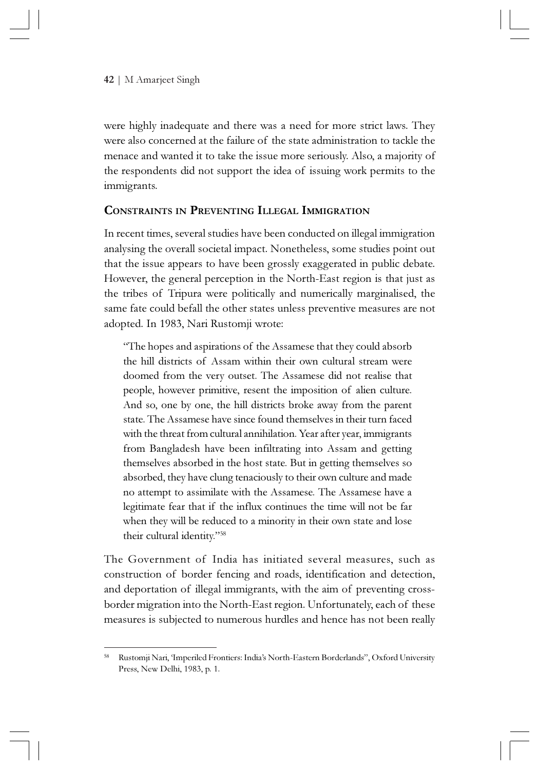were highly inadequate and there was a need for more strict laws. They were also concerned at the failure of the state administration to tackle the menace and wanted it to take the issue more seriously. Also, a majority of the respondents did not support the idea of issuing work permits to the immigrants.

#### CONSTRAINTS IN PREVENTING ILLEGAL IMMIGRATION

In recent times, several studies have been conducted on illegal immigration analysing the overall societal impact. Nonetheless, some studies point out that the issue appears to have been grossly exaggerated in public debate. However, the general perception in the North-East region is that just as the tribes of Tripura were politically and numerically marginalised, the same fate could befall the other states unless preventive measures are not adopted. In 1983, Nari Rustomji wrote:

"The hopes and aspirations of the Assamese that they could absorb the hill districts of Assam within their own cultural stream were doomed from the very outset. The Assamese did not realise that people, however primitive, resent the imposition of alien culture. And so, one by one, the hill districts broke away from the parent state. The Assamese have since found themselves in their turn faced with the threat from cultural annihilation. Year after year, immigrants from Bangladesh have been infiltrating into Assam and getting themselves absorbed in the host state. But in getting themselves so absorbed, they have clung tenaciously to their own culture and made no attempt to assimilate with the Assamese. The Assamese have a legitimate fear that if the influx continues the time will not be far when they will be reduced to a minority in their own state and lose their cultural identity."<sup>58</sup>

The Government of India has initiated several measures, such as construction of border fencing and roads, identification and detection, and deportation of illegal immigrants, with the aim of preventing crossborder migration into the North-East region. Unfortunately, each of these measures is subjected to numerous hurdles and hence has not been really

<sup>58</sup> Rustomji Nari, 'Imperiled Frontiers: India's North-Eastern Borderlands", Oxford University Press, New Delhi, 1983, p. 1.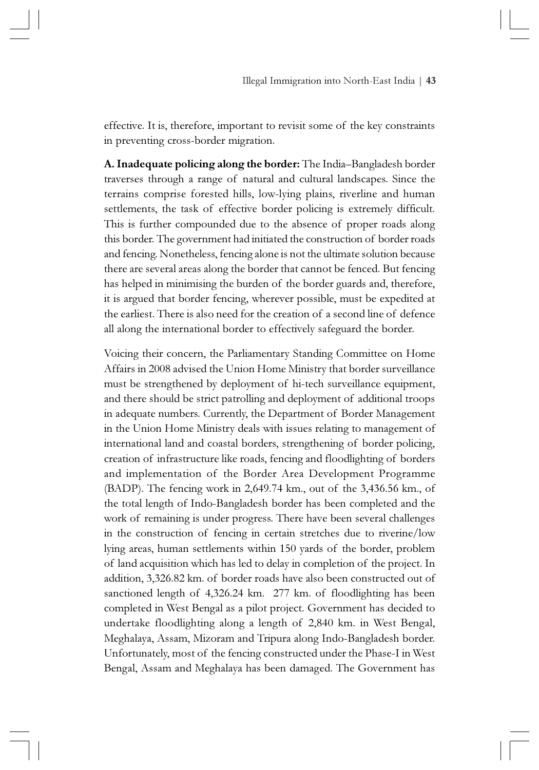effective. It is, therefore, important to revisit some of the key constraints in preventing cross-border migration.

A. Inadequate policing along the border: The India–Bangladesh border traverses through a range of natural and cultural landscapes. Since the terrains comprise forested hills, low-lying plains, riverline and human settlements, the task of effective border policing is extremely difficult. This is further compounded due to the absence of proper roads along this border. The government had initiated the construction of border roads and fencing. Nonetheless, fencing alone is not the ultimate solution because there are several areas along the border that cannot be fenced. But fencing has helped in minimising the burden of the border guards and, therefore, it is argued that border fencing, wherever possible, must be expedited at the earliest. There is also need for the creation of a second line of defence all along the international border to effectively safeguard the border.

Voicing their concern, the Parliamentary Standing Committee on Home Affairs in 2008 advised the Union Home Ministry that border surveillance must be strengthened by deployment of hi-tech surveillance equipment, and there should be strict patrolling and deployment of additional troops in adequate numbers. Currently, the Department of Border Management in the Union Home Ministry deals with issues relating to management of international land and coastal borders, strengthening of border policing, creation of infrastructure like roads, fencing and floodlighting of borders and implementation of the Border Area Development Programme (BADP). The fencing work in 2,649.74 km., out of the 3,436.56 km., of the total length of Indo-Bangladesh border has been completed and the work of remaining is under progress. There have been several challenges in the construction of fencing in certain stretches due to riverine/low lying areas, human settlements within 150 yards of the border, problem of land acquisition which has led to delay in completion of the project. In addition, 3,326.82 km. of border roads have also been constructed out of sanctioned length of 4,326.24 km. 277 km. of floodlighting has been completed in West Bengal as a pilot project. Government has decided to undertake floodlighting along a length of 2,840 km. in West Bengal, Meghalaya, Assam, Mizoram and Tripura along Indo-Bangladesh border. Unfortunately, most of the fencing constructed under the Phase-I in West Bengal, Assam and Meghalaya has been damaged. The Government has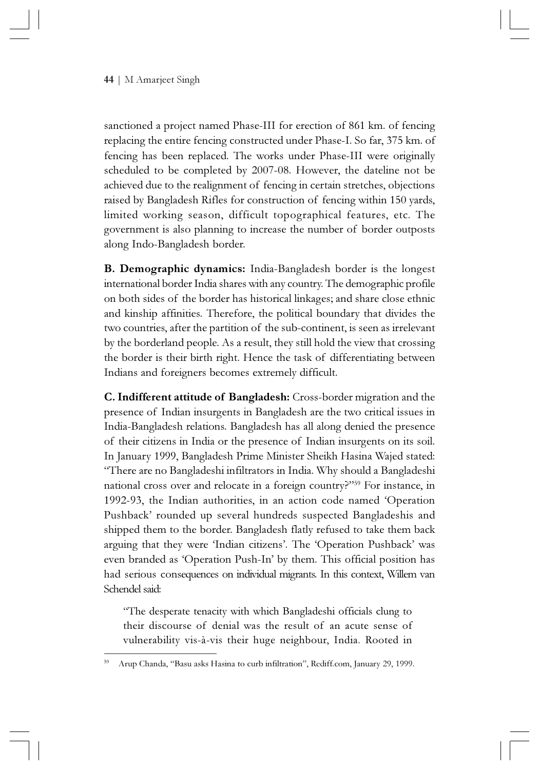sanctioned a project named Phase-III for erection of 861 km. of fencing replacing the entire fencing constructed under Phase-I. So far, 375 km. of fencing has been replaced. The works under Phase-III were originally scheduled to be completed by 2007-08. However, the dateline not be achieved due to the realignment of fencing in certain stretches, objections raised by Bangladesh Rifles for construction of fencing within 150 yards, limited working season, difficult topographical features, etc. The government is also planning to increase the number of border outposts along Indo-Bangladesh border.

B. Demographic dynamics: India-Bangladesh border is the longest international border India shares with any country. The demographic profile on both sides of the border has historical linkages; and share close ethnic and kinship affinities. Therefore, the political boundary that divides the two countries, after the partition of the sub-continent, is seen as irrelevant by the borderland people. As a result, they still hold the view that crossing the border is their birth right. Hence the task of differentiating between Indians and foreigners becomes extremely difficult.

C. Indifferent attitude of Bangladesh: Cross-border migration and the presence of Indian insurgents in Bangladesh are the two critical issues in India-Bangladesh relations. Bangladesh has all along denied the presence of their citizens in India or the presence of Indian insurgents on its soil. In January 1999, Bangladesh Prime Minister Sheikh Hasina Wajed stated: "There are no Bangladeshi infiltrators in India. Why should a Bangladeshi national cross over and relocate in a foreign country?"<sup>59</sup> For instance, in 1992-93, the Indian authorities, in an action code named 'Operation Pushback' rounded up several hundreds suspected Bangladeshis and shipped them to the border. Bangladesh flatly refused to take them back arguing that they were 'Indian citizens'. The 'Operation Pushback' was even branded as 'Operation Push-In' by them. This official position has had serious consequences on individual migrants. In this context, Willem van Schendel said:

"The desperate tenacity with which Bangladeshi officials clung to their discourse of denial was the result of an acute sense of vulnerability vis-à-vis their huge neighbour, India. Rooted in

<sup>59</sup> Arup Chanda, "Basu asks Hasina to curb infiltration", Rediff.com, January 29, 1999.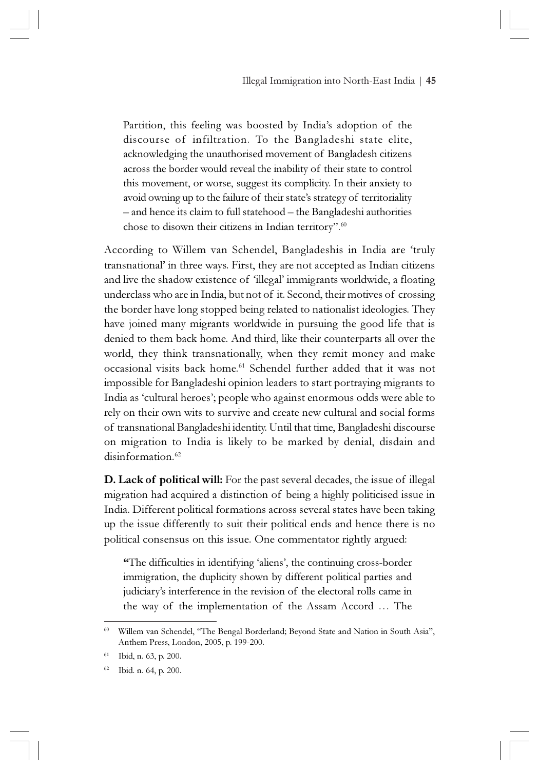Partition, this feeling was boosted by India's adoption of the discourse of infiltration. To the Bangladeshi state elite, acknowledging the unauthorised movement of Bangladesh citizens across the border would reveal the inability of their state to control this movement, or worse, suggest its complicity. In their anxiety to avoid owning up to the failure of their state's strategy of territoriality – and hence its claim to full statehood – the Bangladeshi authorities chose to disown their citizens in Indian territory".<sup>60</sup>

According to Willem van Schendel, Bangladeshis in India are 'truly transnational' in three ways. First, they are not accepted as Indian citizens and live the shadow existence of 'illegal' immigrants worldwide, a floating underclass who are in India, but not of it. Second, their motives of crossing the border have long stopped being related to nationalist ideologies. They have joined many migrants worldwide in pursuing the good life that is denied to them back home. And third, like their counterparts all over the world, they think transnationally, when they remit money and make occasional visits back home.<sup>61</sup> Schendel further added that it was not impossible for Bangladeshi opinion leaders to start portraying migrants to India as 'cultural heroes'; people who against enormous odds were able to rely on their own wits to survive and create new cultural and social forms of transnational Bangladeshi identity. Until that time, Bangladeshi discourse on migration to India is likely to be marked by denial, disdain and disinformation.<sup>62</sup>

D. Lack of political will: For the past several decades, the issue of illegal migration had acquired a distinction of being a highly politicised issue in India. Different political formations across several states have been taking up the issue differently to suit their political ends and hence there is no political consensus on this issue. One commentator rightly argued:

*"*The difficulties in identifying 'aliens', the continuing cross-border immigration, the duplicity shown by different political parties and judiciary's interference in the revision of the electoral rolls came in the way of the implementation of the Assam Accord … The

<sup>60</sup> Willem van Schendel, "The Bengal Borderland; Beyond State and Nation in South Asia", Anthem Press, London, 2005, p. 199-200.

<sup>61</sup> Ibid, n. 63, p. 200.

<sup>62</sup> Ibid. n. 64, p. 200.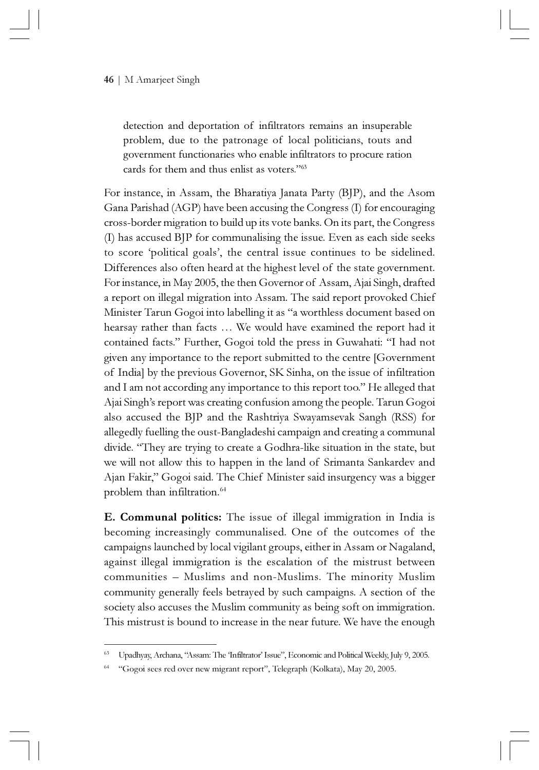detection and deportation of infiltrators remains an insuperable problem, due to the patronage of local politicians, touts and government functionaries who enable infiltrators to procure ration cards for them and thus enlist as voters."<sup>63</sup>

For instance, in Assam, the Bharatiya Janata Party (BJP), and the Asom Gana Parishad (AGP) have been accusing the Congress (I) for encouraging cross-border migration to build up its vote banks. On its part, the Congress (I) has accused BJP for communalising the issue. Even as each side seeks to score 'political goals', the central issue continues to be sidelined. Differences also often heard at the highest level of the state government. For instance, in May 2005, the then Governor of Assam, Ajai Singh, drafted a report on illegal migration into Assam. The said report provoked Chief Minister Tarun Gogoi into labelling it as "a worthless document based on hearsay rather than facts … We would have examined the report had it contained facts." Further, Gogoi told the press in Guwahati: "I had not given any importance to the report submitted to the centre [Government of India] by the previous Governor, SK Sinha, on the issue of infiltration and I am not according any importance to this report too." He alleged that Ajai Singh's report was creating confusion among the people. Tarun Gogoi also accused the BJP and the Rashtriya Swayamsevak Sangh (RSS) for allegedly fuelling the oust-Bangladeshi campaign and creating a communal divide. "They are trying to create a Godhra-like situation in the state, but we will not allow this to happen in the land of Srimanta Sankardev and Ajan Fakir," Gogoi said. The Chief Minister said insurgency was a bigger problem than infiltration.<sup>64</sup>

E. Communal politics: The issue of illegal immigration in India is becoming increasingly communalised. One of the outcomes of the campaigns launched by local vigilant groups, either in Assam or Nagaland, against illegal immigration is the escalation of the mistrust between communities – Muslims and non-Muslims. The minority Muslim community generally feels betrayed by such campaigns. A section of the society also accuses the Muslim community as being soft on immigration. This mistrust is bound to increase in the near future. We have the enough

<sup>63</sup> Upadhyay, Archana, "Assam: The 'Infiltrator' Issue", Economic and Political Weekly, July 9, 2005.

<sup>64</sup> "Gogoi sees red over new migrant report", Telegraph (Kolkata), May 20, 2005.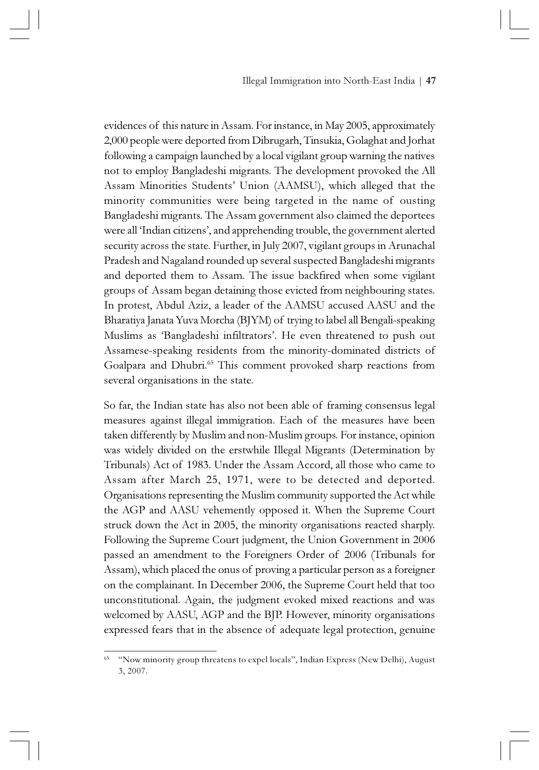evidences of this nature in Assam. For instance, in May 2005, approximately 2,000 people were deported from Dibrugarh, Tinsukia, Golaghat and Jorhat following a campaign launched by a local vigilant group warning the natives not to employ Bangladeshi migrants. The development provoked the All Assam Minorities Students' Union (AAMSU), which alleged that the minority communities were being targeted in the name of ousting Bangladeshi migrants. The Assam government also claimed the deportees were all 'Indian citizens', and apprehending trouble, the government alerted security across the state. Further, in July 2007, vigilant groups in Arunachal Pradesh and Nagaland rounded up several suspected Bangladeshi migrants and deported them to Assam. The issue backfired when some vigilant groups of Assam began detaining those evicted from neighbouring states. In protest, Abdul Aziz, a leader of the AAMSU accused AASU and the Bharatiya Janata Yuva Morcha (BJYM) of trying to label all Bengali-speaking Muslims as 'Bangladeshi infiltrators'. He even threatened to push out Assamese-speaking residents from the minority-dominated districts of Goalpara and Dhubri.<sup>65</sup> This comment provoked sharp reactions from several organisations in the state.

So far, the Indian state has also not been able of framing consensus legal measures against illegal immigration. Each of the measures have been taken differently by Muslim and non-Muslim groups. For instance, opinion was widely divided on the erstwhile Illegal Migrants (Determination by Tribunals) Act of 1983. Under the Assam Accord, all those who came to Assam after March 25, 1971, were to be detected and deported. Organisations representing the Muslim community supported the Act while the AGP and AASU vehemently opposed it. When the Supreme Court struck down the Act in 2005, the minority organisations reacted sharply. Following the Supreme Court judgment, the Union Government in 2006 passed an amendment to the Foreigners Order of 2006 (Tribunals for Assam), which placed the onus of proving a particular person as a foreigner on the complainant. In December 2006, the Supreme Court held that too unconstitutional. Again, the judgment evoked mixed reactions and was welcomed by AASU, AGP and the BJP. However, minority organisations expressed fears that in the absence of adequate legal protection, genuine

<sup>65</sup> "Now minority group threatens to expel locals", Indian Express (New Delhi), August 3, 2007.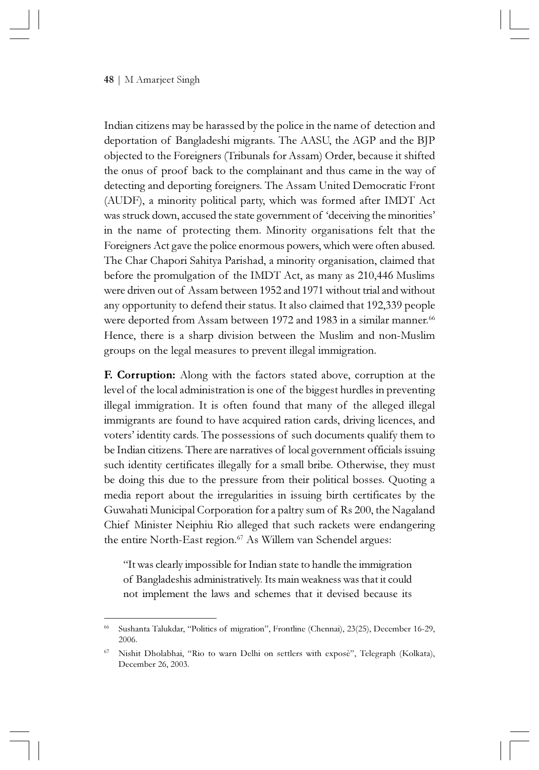Indian citizens may be harassed by the police in the name of detection and deportation of Bangladeshi migrants. The AASU, the AGP and the BJP objected to the Foreigners (Tribunals for Assam) Order, because it shifted the onus of proof back to the complainant and thus came in the way of detecting and deporting foreigners. The Assam United Democratic Front (AUDF), a minority political party, which was formed after IMDT Act was struck down, accused the state government of 'deceiving the minorities' in the name of protecting them. Minority organisations felt that the Foreigners Act gave the police enormous powers, which were often abused. The Char Chapori Sahitya Parishad, a minority organisation, claimed that before the promulgation of the IMDT Act, as many as 210,446 Muslims were driven out of Assam between 1952 and 1971 without trial and without any opportunity to defend their status. It also claimed that 192,339 people were deported from Assam between 1972 and 1983 in a similar manner.<sup>66</sup> Hence, there is a sharp division between the Muslim and non-Muslim groups on the legal measures to prevent illegal immigration.

F. Corruption: Along with the factors stated above, corruption at the level of the local administration is one of the biggest hurdles in preventing illegal immigration. It is often found that many of the alleged illegal immigrants are found to have acquired ration cards, driving licences, and voters' identity cards. The possessions of such documents qualify them to be Indian citizens. There are narratives of local government officials issuing such identity certificates illegally for a small bribe. Otherwise, they must be doing this due to the pressure from their political bosses. Quoting a media report about the irregularities in issuing birth certificates by the Guwahati Municipal Corporation for a paltry sum of Rs 200, the Nagaland Chief Minister Neiphiu Rio alleged that such rackets were endangering the entire North-East region. $67$  As Willem van Schendel argues:

"It was clearly impossible for Indian state to handle the immigration of Bangladeshis administratively. Its main weakness was that it could not implement the laws and schemes that it devised because its

<sup>66</sup> Sushanta Talukdar, "Politics of migration", Frontline (Chennai), 23(25), December 16-29, 2006.

<sup>67</sup> Nishit Dholabhai, "Rio to warn Delhi on settlers with exposè", Telegraph (Kolkata), December 26, 2003.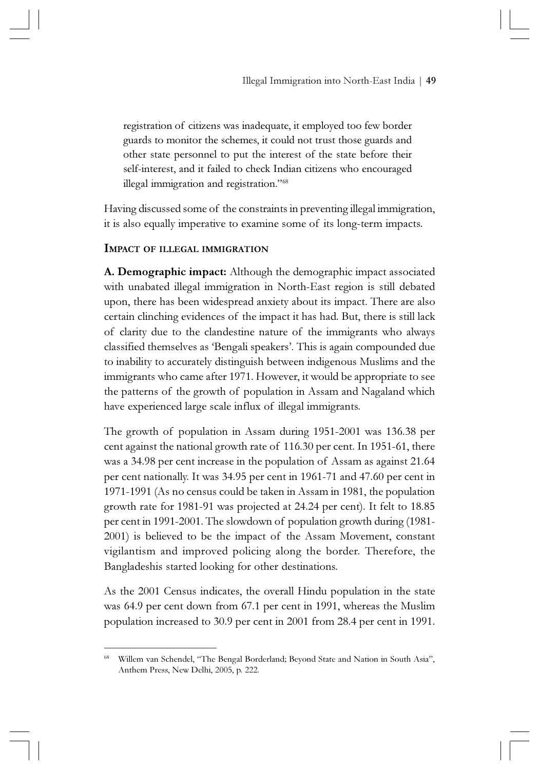registration of citizens was inadequate, it employed too few border guards to monitor the schemes, it could not trust those guards and other state personnel to put the interest of the state before their self-interest, and it failed to check Indian citizens who encouraged illegal immigration and registration."<sup>68</sup>

Having discussed some of the constraints in preventing illegal immigration, it is also equally imperative to examine some of its long-term impacts.

#### IMPACT OF ILLEGAL IMMIGRATION

A. Demographic impact: Although the demographic impact associated with unabated illegal immigration in North-East region is still debated upon, there has been widespread anxiety about its impact. There are also certain clinching evidences of the impact it has had. But, there is still lack of clarity due to the clandestine nature of the immigrants who always classified themselves as 'Bengali speakers'. This is again compounded due to inability to accurately distinguish between indigenous Muslims and the immigrants who came after 1971. However, it would be appropriate to see the patterns of the growth of population in Assam and Nagaland which have experienced large scale influx of illegal immigrants.

The growth of population in Assam during 1951-2001 was 136.38 per cent against the national growth rate of 116.30 per cent. In 1951-61, there was a 34.98 per cent increase in the population of Assam as against 21.64 per cent nationally. It was 34.95 per cent in 1961-71 and 47.60 per cent in 1971-1991 (As no census could be taken in Assam in 1981, the population growth rate for 1981-91 was projected at 24.24 per cent). It felt to 18.85 per cent in 1991-2001. The slowdown of population growth during (1981- 2001) is believed to be the impact of the Assam Movement, constant vigilantism and improved policing along the border. Therefore, the Bangladeshis started looking for other destinations.

As the 2001 Census indicates, the overall Hindu population in the state was 64.9 per cent down from 67.1 per cent in 1991, whereas the Muslim population increased to 30.9 per cent in 2001 from 28.4 per cent in 1991.

<sup>68</sup> Willem van Schendel, "The Bengal Borderland; Beyond State and Nation in South Asia", Anthem Press, New Delhi, 2005, p. 222.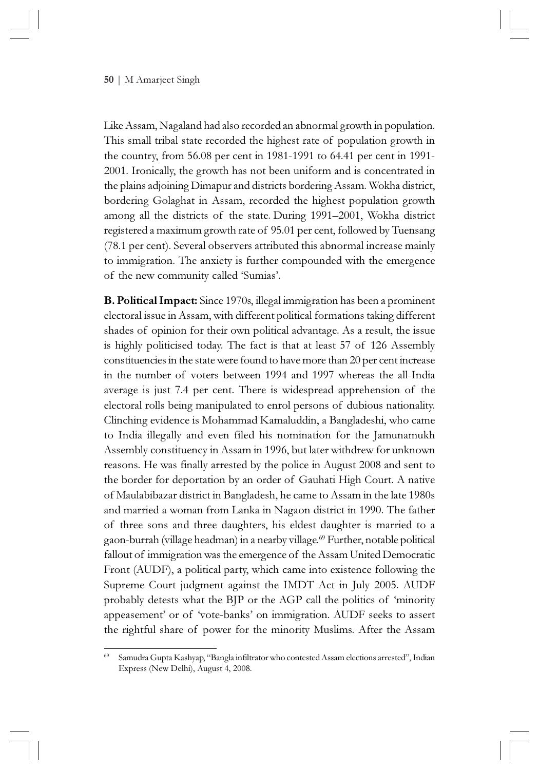Like Assam, Nagaland had also recorded an abnormal growth in population. This small tribal state recorded the highest rate of population growth in the country, from 56.08 per cent in 1981-1991 to 64.41 per cent in 1991- 2001. Ironically, the growth has not been uniform and is concentrated in the plains adjoining Dimapur and districts bordering Assam. Wokha district, bordering Golaghat in Assam, recorded the highest population growth among all the districts of the state. During 1991–2001, Wokha district registered a maximum growth rate of 95.01 per cent, followed by Tuensang (78.1 per cent). Several observers attributed this abnormal increase mainly to immigration. The anxiety is further compounded with the emergence of the new community called 'Sumias'.

B. Political Impact: Since 1970s, illegal immigration has been a prominent electoral issue in Assam, with different political formations taking different shades of opinion for their own political advantage. As a result, the issue is highly politicised today. The fact is that at least 57 of 126 Assembly constituencies in the state were found to have more than 20 per cent increase in the number of voters between 1994 and 1997 whereas the all-India average is just 7.4 per cent. There is widespread apprehension of the electoral rolls being manipulated to enrol persons of dubious nationality. Clinching evidence is Mohammad Kamaluddin, a Bangladeshi, who came to India illegally and even filed his nomination for the Jamunamukh Assembly constituency in Assam in 1996, but later withdrew for unknown reasons. He was finally arrested by the police in August 2008 and sent to the border for deportation by an order of Gauhati High Court. A native of Maulabibazar district in Bangladesh, he came to Assam in the late 1980s and married a woman from Lanka in Nagaon district in 1990. The father of three sons and three daughters, his eldest daughter is married to a gaon-burrah (village headman) in a nearby village.<sup>69</sup> Further, notable political fallout of immigration was the emergence of the Assam United Democratic Front (AUDF), a political party, which came into existence following the Supreme Court judgment against the IMDT Act in July 2005. AUDF probably detests what the BJP or the AGP call the politics of 'minority appeasement' or of 'vote-banks' on immigration. AUDF seeks to assert the rightful share of power for the minority Muslims. After the Assam

Samudra Gupta Kashyap, "Bangla infiltrator who contested Assam elections arrested", Indian Express (New Delhi), August 4, 2008.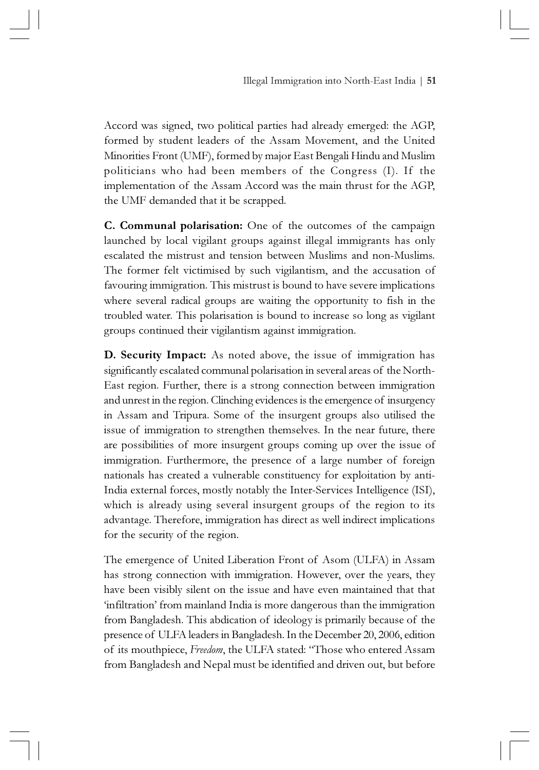Accord was signed, two political parties had already emerged: the AGP, formed by student leaders of the Assam Movement, and the United Minorities Front (UMF), formed by major East Bengali Hindu and Muslim politicians who had been members of the Congress (I). If the implementation of the Assam Accord was the main thrust for the AGP, the UMF demanded that it be scrapped.

C. Communal polarisation: One of the outcomes of the campaign launched by local vigilant groups against illegal immigrants has only escalated the mistrust and tension between Muslims and non-Muslims. The former felt victimised by such vigilantism, and the accusation of favouring immigration. This mistrust is bound to have severe implications where several radical groups are waiting the opportunity to fish in the troubled water. This polarisation is bound to increase so long as vigilant groups continued their vigilantism against immigration.

D. Security Impact: As noted above, the issue of immigration has significantly escalated communal polarisation in several areas of the North-East region. Further, there is a strong connection between immigration and unrest in the region. Clinching evidences is the emergence of insurgency in Assam and Tripura. Some of the insurgent groups also utilised the issue of immigration to strengthen themselves. In the near future, there are possibilities of more insurgent groups coming up over the issue of immigration. Furthermore, the presence of a large number of foreign nationals has created a vulnerable constituency for exploitation by anti-India external forces, mostly notably the Inter-Services Intelligence (ISI), which is already using several insurgent groups of the region to its advantage. Therefore, immigration has direct as well indirect implications for the security of the region.

The emergence of United Liberation Front of Asom (ULFA) in Assam has strong connection with immigration. However, over the years, they have been visibly silent on the issue and have even maintained that that 'infiltration' from mainland India is more dangerous than the immigration from Bangladesh. This abdication of ideology is primarily because of the presence of ULFA leaders in Bangladesh. In the December 20, 2006, edition of its mouthpiece, Freedom, the ULFA stated: "Those who entered Assam from Bangladesh and Nepal must be identified and driven out, but before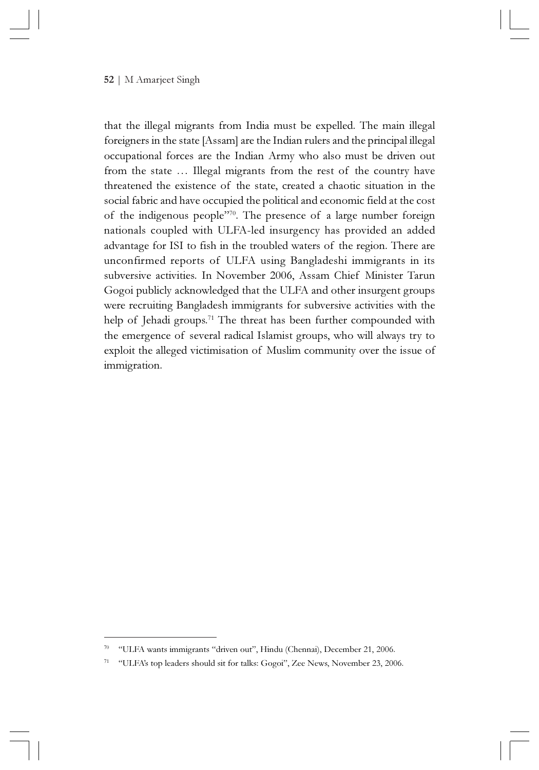that the illegal migrants from India must be expelled. The main illegal foreigners in the state [Assam] are the Indian rulers and the principal illegal occupational forces are the Indian Army who also must be driven out from the state … Illegal migrants from the rest of the country have threatened the existence of the state, created a chaotic situation in the social fabric and have occupied the political and economic field at the cost of the indigenous people"<sup>70</sup>. The presence of a large number foreign nationals coupled with ULFA-led insurgency has provided an added advantage for ISI to fish in the troubled waters of the region. There are unconfirmed reports of ULFA using Bangladeshi immigrants in its subversive activities. In November 2006, Assam Chief Minister Tarun Gogoi publicly acknowledged that the ULFA and other insurgent groups were recruiting Bangladesh immigrants for subversive activities with the help of Jehadi groups.<sup>71</sup> The threat has been further compounded with the emergence of several radical Islamist groups, who will always try to exploit the alleged victimisation of Muslim community over the issue of immigration.

<sup>70</sup> "ULFA wants immigrants "driven out", Hindu (Chennai), December 21, 2006.

<sup>71</sup> "ULFA's top leaders should sit for talks: Gogoi", Zee News, November 23, 2006.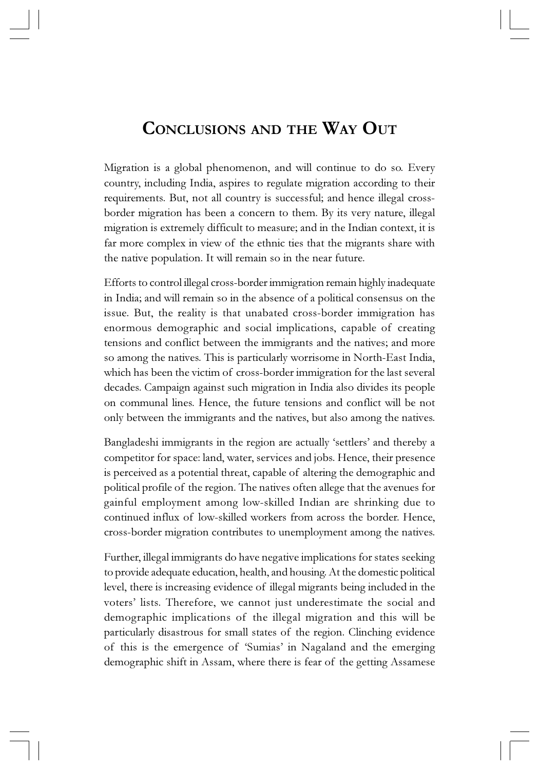## CONCLUSIONS AND THE WAY OUT

Migration is a global phenomenon, and will continue to do so. Every country, including India, aspires to regulate migration according to their requirements. But, not all country is successful; and hence illegal crossborder migration has been a concern to them. By its very nature, illegal migration is extremely difficult to measure; and in the Indian context, it is far more complex in view of the ethnic ties that the migrants share with the native population. It will remain so in the near future.

Efforts to control illegal cross-border immigration remain highly inadequate in India; and will remain so in the absence of a political consensus on the issue. But, the reality is that unabated cross-border immigration has enormous demographic and social implications, capable of creating tensions and conflict between the immigrants and the natives; and more so among the natives. This is particularly worrisome in North-East India, which has been the victim of cross-border immigration for the last several decades. Campaign against such migration in India also divides its people on communal lines. Hence, the future tensions and conflict will be not only between the immigrants and the natives, but also among the natives.

Bangladeshi immigrants in the region are actually 'settlers' and thereby a competitor for space: land, water, services and jobs. Hence, their presence is perceived as a potential threat, capable of altering the demographic and political profile of the region. The natives often allege that the avenues for gainful employment among low-skilled Indian are shrinking due to continued influx of low-skilled workers from across the border. Hence, cross-border migration contributes to unemployment among the natives.

Further, illegal immigrants do have negative implications for states seeking to provide adequate education, health, and housing. At the domestic political level, there is increasing evidence of illegal migrants being included in the voters' lists. Therefore, we cannot just underestimate the social and demographic implications of the illegal migration and this will be particularly disastrous for small states of the region. Clinching evidence of this is the emergence of 'Sumias' in Nagaland and the emerging demographic shift in Assam, where there is fear of the getting Assamese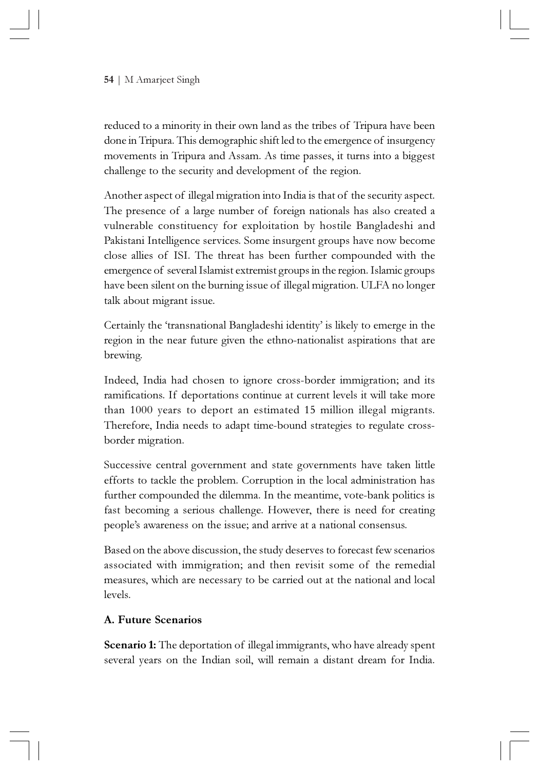reduced to a minority in their own land as the tribes of Tripura have been done in Tripura. This demographic shift led to the emergence of insurgency movements in Tripura and Assam. As time passes, it turns into a biggest challenge to the security and development of the region.

Another aspect of illegal migration into India is that of the security aspect. The presence of a large number of foreign nationals has also created a vulnerable constituency for exploitation by hostile Bangladeshi and Pakistani Intelligence services. Some insurgent groups have now become close allies of ISI. The threat has been further compounded with the emergence of several Islamist extremist groups in the region. Islamic groups have been silent on the burning issue of illegal migration. ULFA no longer talk about migrant issue.

Certainly the 'transnational Bangladeshi identity' is likely to emerge in the region in the near future given the ethno-nationalist aspirations that are brewing.

Indeed, India had chosen to ignore cross-border immigration; and its ramifications. If deportations continue at current levels it will take more than 1000 years to deport an estimated 15 million illegal migrants. Therefore, India needs to adapt time-bound strategies to regulate crossborder migration.

Successive central government and state governments have taken little efforts to tackle the problem. Corruption in the local administration has further compounded the dilemma. In the meantime, vote-bank politics is fast becoming a serious challenge. However, there is need for creating people's awareness on the issue; and arrive at a national consensus.

Based on the above discussion, the study deserves to forecast few scenarios associated with immigration; and then revisit some of the remedial measures, which are necessary to be carried out at the national and local levels.

#### A. Future Scenarios

Scenario 1: The deportation of illegal immigrants, who have already spent several years on the Indian soil, will remain a distant dream for India.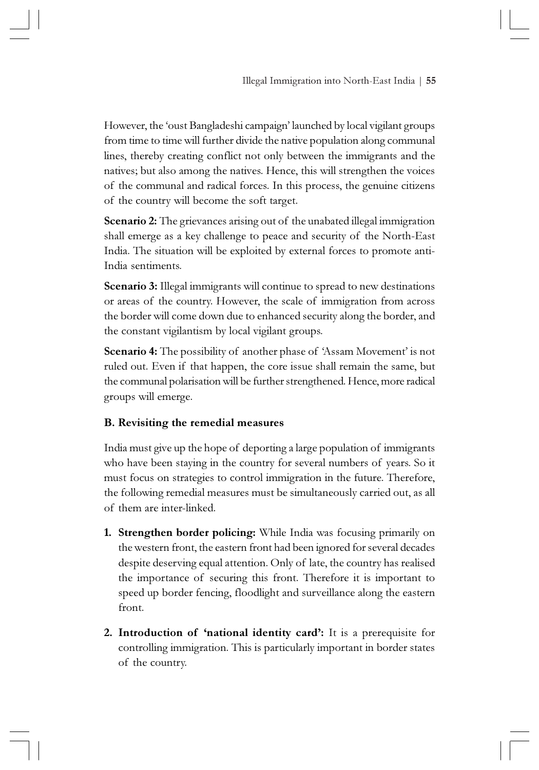However, the 'oust Bangladeshi campaign' launched by local vigilant groups from time to time will further divide the native population along communal lines, thereby creating conflict not only between the immigrants and the natives; but also among the natives. Hence, this will strengthen the voices of the communal and radical forces. In this process, the genuine citizens of the country will become the soft target.

Scenario 2: The grievances arising out of the unabated illegal immigration shall emerge as a key challenge to peace and security of the North-East India. The situation will be exploited by external forces to promote anti-India sentiments.

Scenario 3: Illegal immigrants will continue to spread to new destinations or areas of the country. However, the scale of immigration from across the border will come down due to enhanced security along the border, and the constant vigilantism by local vigilant groups.

Scenario 4: The possibility of another phase of 'Assam Movement' is not ruled out. Even if that happen, the core issue shall remain the same, but the communal polarisation will be further strengthened. Hence, more radical groups will emerge.

#### B. Revisiting the remedial measures

India must give up the hope of deporting a large population of immigrants who have been staying in the country for several numbers of years. So it must focus on strategies to control immigration in the future. Therefore, the following remedial measures must be simultaneously carried out, as all of them are inter-linked.

- 1. Strengthen border policing: While India was focusing primarily on the western front, the eastern front had been ignored for several decades despite deserving equal attention. Only of late, the country has realised the importance of securing this front. Therefore it is important to speed up border fencing, floodlight and surveillance along the eastern front.
- 2. Introduction of 'national identity card': It is a prerequisite for controlling immigration. This is particularly important in border states of the country.